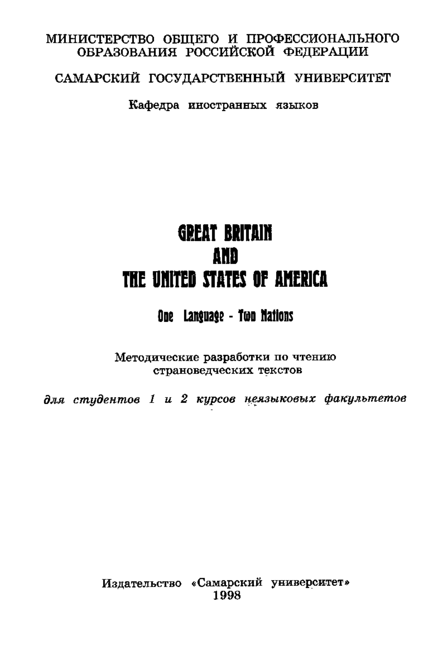## МИНИСТЕРСТВО ОБШЕГО И ПРОФЕССИОНАЛЬНОГО ОБРАЗОВАНИЯ РОССИЙСКОЙ ФЕЛЕРАПИИ

## САМАРСКИЙ ГОСУЛАРСТВЕННЫЙ УНИВЕРСИТЕТ

Кафелра иностранных языков

# **GREAT BRITAIN AND** THE UNITED STATES OF AMERICA

## One Lanouage - Too Mations

Методические разработки по чтению страновелческих текстов

для стидентов 1 и 2 кирсов неязыковых факультетов

Издательство «Самарский университет» 1998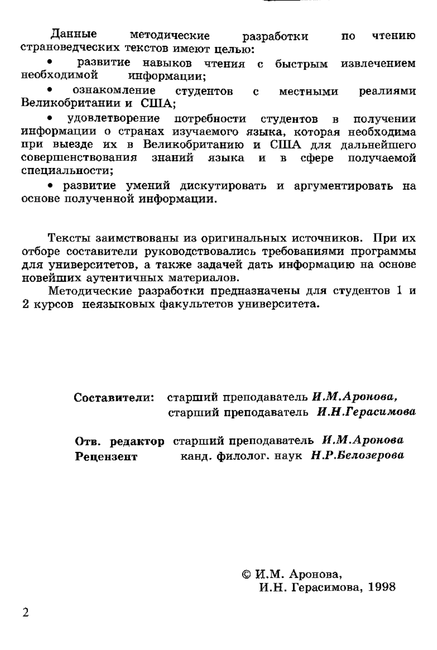Ланные Мётолические разработки по чтению страноведческих текстов имеют пелью:

развитие навыков чтения с быстрым извлечением **Reofivorumo** *R*eof информации:

ознакомление  $\ddot{\phantom{a}}$ студентов с местными реалиями Великобритании и США-

**VЛОВЛЕТВОDЕНИЕ** потребности студентов в получении информации о странах изучаемого языка, которая необходима при выезде их в Великобританию и США для дальнейшего совершенствования знаний языка **EXAMPLE** получаемой специальности:

• развитие умений лискутировать и аргументировать на основе полученной информации.

Тексты заимствованы из оригинальных источников. При их отборе составители руководствовались требованиями программы лля университетов, а также залачей лать информацию на основе новейших аутентичных материалов.

...<br>Метолические разработки прелназначены лля стулентов 1 и 2 курсов неязыковых факультетов университета.

> Составители: старший преподаватель И.М.Аронова, старший преполаватель И.Н.Герасимова

Отв. редактор старший преподаватель И.М.Аронова Репензент канд. филолог. наук Н.Р.Белозерова

> © И.М. Аронова, И.Н. Герасимова, 1998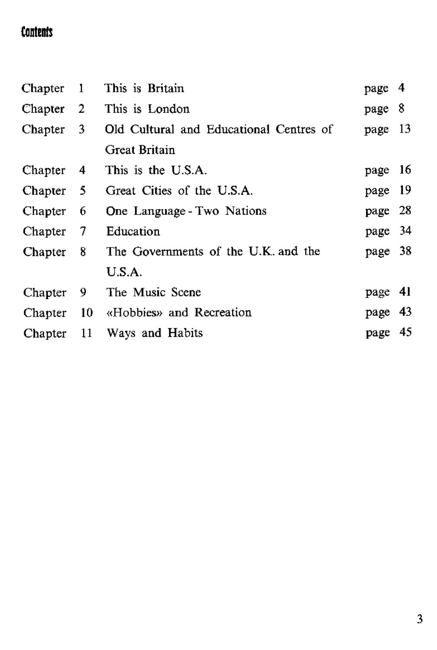## Contents

| Chapter   | -1  | This is Britain                         | page 4  |     |
|-----------|-----|-----------------------------------------|---------|-----|
| Chapter 2 |     | This is London                          | page 8  |     |
| Chapter 3 |     | Old Cultural and Educational Centres of | page 13 |     |
|           |     | <b>Great Britain</b>                    |         |     |
| Chapter   | -4  | This is the U.S.A.                      | page    | 16  |
| Chapter 5 |     | Great Cities of the U.S.A.              | page    | -19 |
| Chapter   | 6   | One Language - Two Nations              | page    | 28  |
| Chapter   | 7   | Education                               | page 34 |     |
| Chapter   | 8   | The Governments of the U.K. and the     | page 38 |     |
|           |     | U.S.A.                                  |         |     |
| Chapter   | 9   | The Music Scene                         | page    | 41  |
| Chapter   | -10 | «Hobbies» and Recreation                | page    | 43  |
| Chapter   | 11  | Ways and Habits                         | page    | 45  |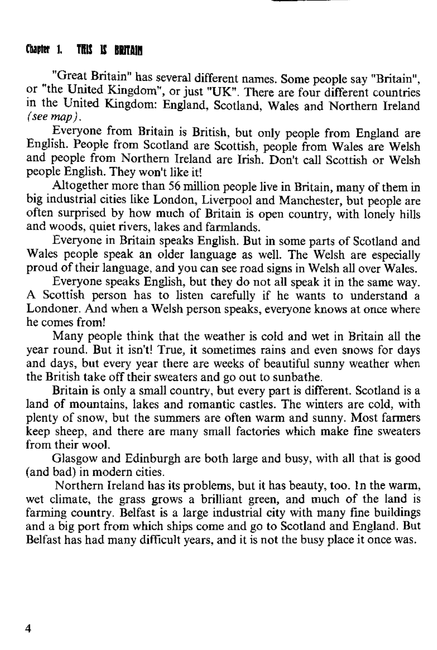## Chapter 1. THIS IS ROTTAIN

"Great Britain" has several different names. Some people say "Britain", or "the United Kingdom", or just "UK". There are four different countries in the United Kingdom: England, Scotland, Wales and Northern Ireland *(see map ).*

Everyone from Britain is British, but only people from England are English. People from Scotland are Scottish, people from Wales are Welsh and neople from Northern Ireland are Irish. Don't call Scottish or Welsh people English. They won't like it!

Altogether more than 56 million people live in Britain, many of them in big industrial cities like London. Liverpool and Manchester, but people are often surprised by how much of Britain is open country, with lonely hills and woods, quiet rivers, lakes and farmlands.

Everyone in Britain speaks English. But in some parts of Scotland and Wales people speak an older language as well. The Welsh are especially proud of their language, and you can see road signs in Welsh all over Wales.

Everyone speaks English, but they do not all speak it in the same way. A Scottish person has to listen carefully if he wants to understand a Londoner. And when a Welsh person speaks, everyone knows at once where he comes from!

Many people think that the weather is cold and wet in Britain all the year round. But it isn't! True, it sometimes rains and even snows for days and days, but every year there are weeks of beautiful sunny weather when the British take off their sweaters and go out to sunbathe.

Britain is only a small country, but every part is different. Scotland is a land of mountains, lakes and romantic castles. The winters are cold, with plenty of snow, but the summers are often warm and sunny. Most farmers keep sheep, and there are many small factories which make fine sweaters from their wool.

Glasgow and Edinburgh are both large and busy, with all that is good (and bad) in modern cities.

Northern Ireland has its problems, but it has beauty, too. In the warm, wet climate, the grass grows a brilliant green, and much of the land is farming country. Belfast is a large industrial city with many fine buildings and a big port from which ships come and go to Scotland and England. But Belfast has had many difficult years, and it is not the busy place it once was.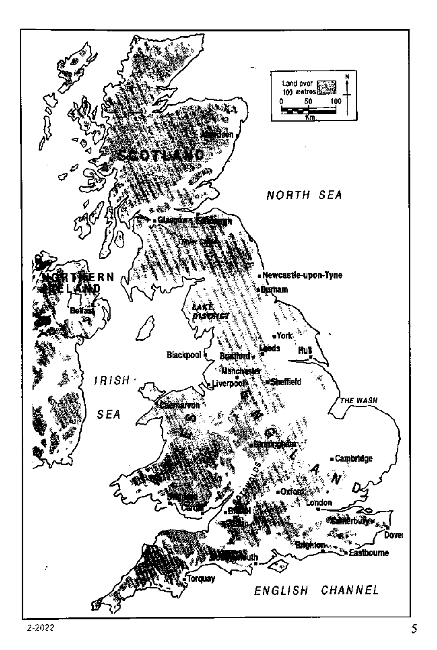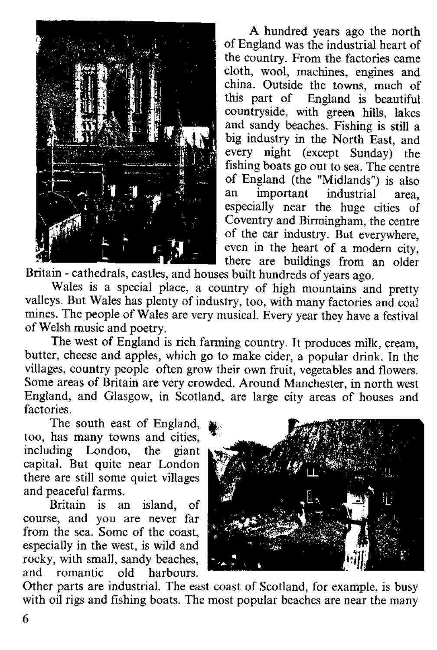

A hundred years ago the north of England was the industrial heart of the country. From the factories came cloth, wool, machines, engines, and china. Outside the towns, much of this part of England is beautiful countryside, with green hills, lakes and sandy beaches. Fishing is still a big industry in the North East, and every night (except Sunday) the fishing boats go out to sea. The centre of England (the "Midlands") is also<br>an important industrial area an important industrial area,<br>especially near the huge cities of Coventry and Birmingham, the centre of the car industry. But everywhere, even in the heart of a modern city. there are buildings from an older

Britain - cathedrals, castles, and houses built hundreds of years ago.

Wales is a special place, a country of high mountains and pretty valleys. But Wales has plenty of industry, too, with many factories and coal mines. The people of Wales are very musical. Every year they have a festival of Welsh music and poetry.

The west of England is rich farming country. It produces milk, cream, butter, cheese and apples, which go to make cider, a popular drink. In the villages, country people often grow their own fruit, vegetables and flowers. Some areas of Britain are very crowded. Around Manchester, in north west England, and Glasgow, in Scotland, are large city areas of houses and factories.

The south east of England. too, has many towns and cities. including London, the giant capital. But quite near London there are still some quiet villages and peaceful farms.

Britain is an island, of course, and you are never far from the sea. Some of the coast. especially in the west, is wild and rocky, with small, sandy beaches,<br>and romantic old harbours and romantic



Other parts are industrial. The east coast of Scotland, for example, is busy with oil rigs and fishing boats. The most popular beaches are near the many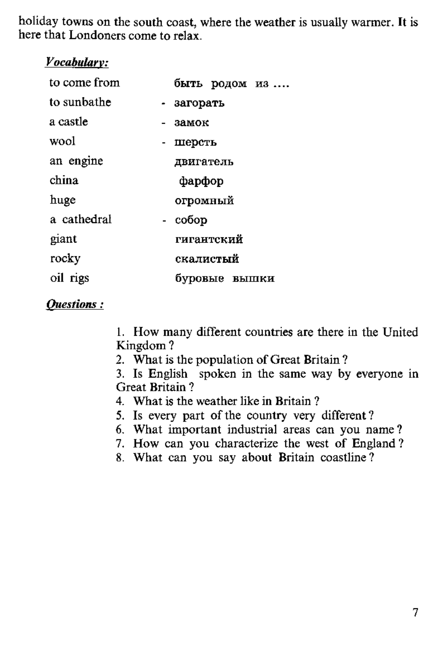holiday towns on the south coast, where the weather is usually warmer. It is here that Londoners come to relax.

## *Vocahularv:*

| to come from |   |            |               | быть родом из |
|--------------|---|------------|---------------|---------------|
| to sunbathe  |   | - загорать |               |               |
| a castle     |   | $-38MOK$   |               |               |
| wool         | ۰ | шерсть     |               |               |
| an engine    |   | двигатель  |               |               |
| china        |   | фарфор     |               |               |
| huge         |   | огромный   |               |               |
| a cathedral  |   | - собор    |               |               |
| giant        |   | гигантский |               |               |
| rocky        |   | скалистый  |               |               |
| oil rigs     |   |            | буровые вышки |               |

## $$

1. How many different countries are there in the United  $Kingdom?$ 

2. What is the population of Great Britain?

 $\overline{3}$ . Is English spoken in the same way by everyone in Great Britain ?

- 4. What is the weather like in Britain ?
- 5. Is every part of the country very different?
- 6. What important industrial areas can you name?
- 7. How can you characterize the west of England ?
- 8. What can you say about Britain coastline?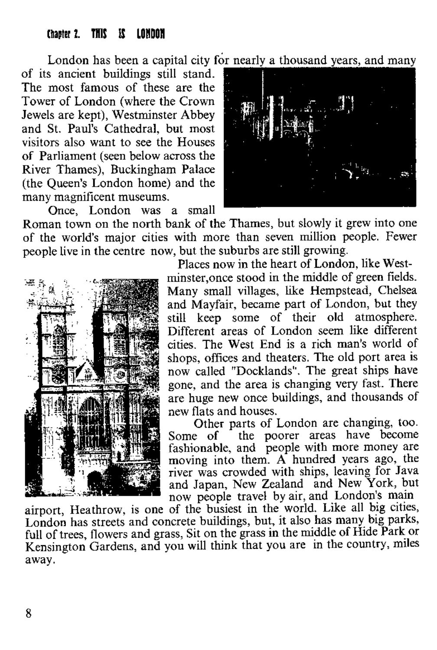## <span id="page-7-0"></span>Chanter 2 . THIS IS LOHDON

London has been a capital city for nearly a thousand years, and many

of its ancient buildings still stand. The most famous of these are the Tower of London (where the Crown Jewels are kept), Westminster Abbey and St. Paul's Cathedral, but most visitors also want to see the Houses of Parliament (seen below across the River Thames), Buckingham Palace (the Queen's London home) and the many magnificent museums. Once. London was a small



Roman town on the north bank of the Thames, but slowly it grew into one of the world's major cities with more than seven million people. Fewer people live in the centre now, but the suburbs are still growing.



Places now in the heart of London, like Westminster, once stood in the middle of green fields. Many small villages, like Hempstead, Chelsea and Mayfair, became part of London, but they still keep some of their old atmosphere. Different areas of London seem like different cities. The West End is a rich man's world of shops, offices and theaters. The old port area is now called "Docklands". The great ships have gone, and the area is changing very fast. There are huge new once buildings, and thousands of new flats and houses.

Other parts of London are changing, too. Some of the poorer areas have become fashionable, and people with more money are moving into them. A hundred years ago, the river was crowded with ships, leaving for Java and Japan, New Zealand and New York, but now people travel by air, and London's main

airport, Heathrow, is one of the busiest in the world. Like all big cities, London has streets and concrete buildings, but, it also has many big parks, full of trees, flowers and grass, Sit on the grass in the middle of Hide Park or Kensington Gardens, and you will think that you are in the country, miles away.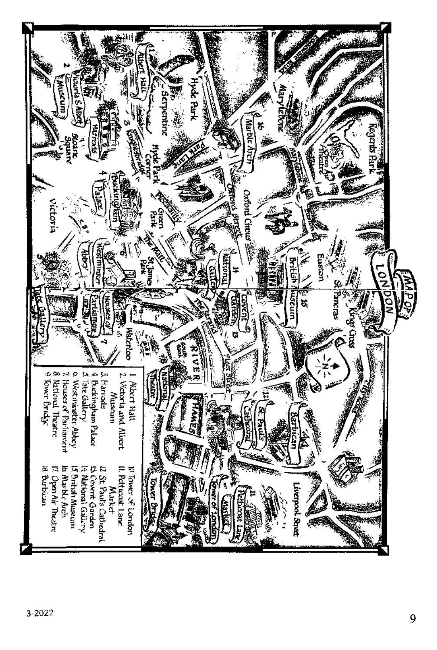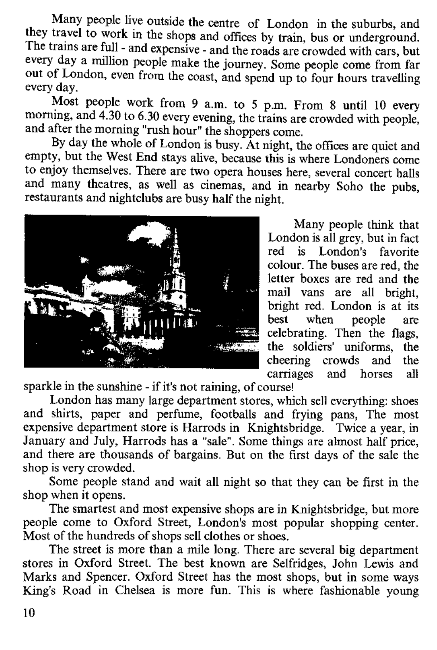Many people live outside the centre of London in the suburbs, and they travel to work in the shops and offices by train, bus or underground. The trains are full - and expensive - and the roads are crowded with cars, but every day a million people make the journey. Some people come from far out of London, even from the coast, and spend up to four hours travelling every day.

Most people work from 9 a.m. to 5 p.m. From 8 until 10 every morning, and 4.30 to 6.30 every evening, the trains are crowded with people. and after the morning "rush hour" the shoppers come.

By day the whole of London is busy. At night, the offices are quiet and empty, but the West End stays alive, because this is where Londoners come to enjoy, see the selves. There are two opera houses here, several concert halls and many theatres, as well as cinemas, and in nearby Soho the pubs, restaurants and nightclubs are busy half the night.



Many people think that London is all grey, but in fact red is London's favorite colour. The buses are red, the letter boxes are red and the mail vans are all bright bright red. London is at its<br>best when people are when people celebrating. Then the flags, the soldiers' uniforms, the cheering crowds and the<br>carriages and horses all and horses

sparkle in the sunshine - if it's not raining, of course!

London has many large department stores, which sell everything: shoes and shirts, paper and perfume, footballs and frying pans. The most expensive department store is Harrods in Knightsbridge. Twice a year, in January and July, Harrods has a "sale". Some things are almost half price, and there are thousands of bargains. But on the first days of the sale the shop is very crowded.

Some people stand and wait all night so that they can be first in the shop when it opens.

The smartest and most expensive shops are in Knightsbridge, but more people come to Oxford Street, London's most popular shopping center. Most of the hundreds of shops sell clothes or shoes.

The street is more than a mile long. There are several big department stores in Oxford Street. The best known are Selfridges, John Lewis and Marks and Spencer. Oxford Street has the most shops, but in some ways King's Road in Chelsea is more fun. This is where fashionable young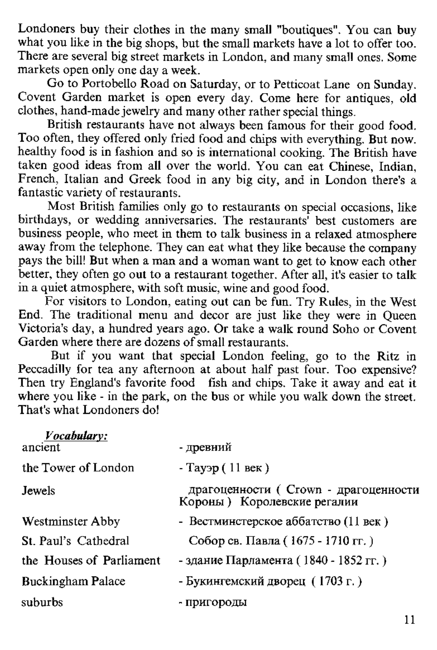Londoners buy their clothes in the many small "boutiques". You can buy what you like in the big shops, but the small markets have a lot to offer too. what you like in the big shops, but the small markets have a lot to offer too.<br>There are several big street markets in London, and many small ones. Some markets open only one day a week.

For open only one day a meen.<br>Go to Portobello Road on Saturday, or to Petticoat Lane, on Sunday. Covent Garden market is open every day. Come here for antiques, old clothes, h and -m ade jewelry and many other rather special things.

British restaurants have not always been famous for their good food. Too often, they offered only fried food and chips with everything. But now. healthy food is in fashion and so is international cooking. The British have taken good ideas from all over the world. You can eat Chinese, Indian, French. Italian and Greek food in any big city, and in London there's a fantastic variety of restaurants.

Most British families only go to restaurants on special occasions, like birthdays, or wedding anniversaries. The restaurants' best customers are business people, who meet in them to talk business in a relaxed atmosphere away from the telephone. They can eat what they like because the company pays the bill! But when a man and a woman want to get to know each other better, they often go out to a restaurant together. After all, it's easier to talk in a quiet atmosphere, with soft music, wine and good food.

For visitors to London, eating out can be fun. Try Rules, in the West End. The traditional menu and decor are just like they were in Oueen Victoria's day, a hundred years ago. Or take a walk round Soho or Covent Garden where there are dozens of small restaurants.

But if you want that special London feeling, go to the Ritz in Peccadilly for tea any afternoon at about half past four. Too expensive? Then try England's favorite food fish and chips. Take it away and eat it where you like - in the park, on the bus or while you walk down the street. That's what Londoners do!

| Vocabulary:<br>ancient   | - древний                                                            |
|--------------------------|----------------------------------------------------------------------|
| the Tower of London      | - Тауэр (11 век)                                                     |
| Jewels                   | драгоценности ( Crown - драгоценности<br>Короны) Королевские регалии |
| <b>Westminster Abby</b>  | - Вестминстерское аббатство (11 век)                                 |
| St. Paul's Cathedral     | Собор св. Павла (1675 - 1710 гг.)                                    |
| the Houses of Parliament | - здание Парламента (1840 - 1852 гг.)                                |
| <b>Buckingham Palace</b> | - Букингемский дворец (1703 г.)                                      |
| suburbs                  | - пригороды                                                          |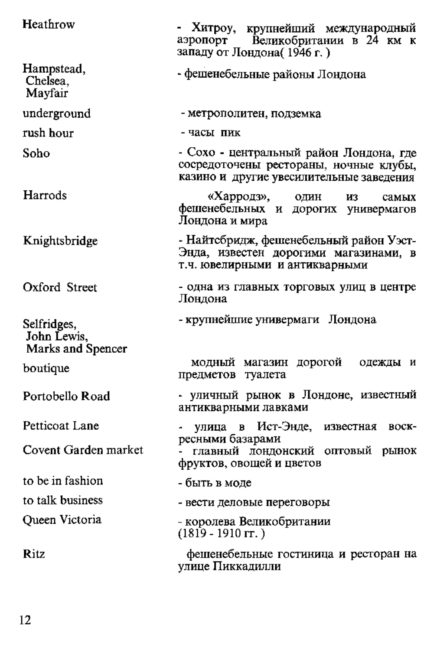| Heathrow                                        | - Хитроу, крупнейший международный<br>аэропорт<br>Великобритании в 24 км к<br>западу от Лондона( 1946 г. )                    |
|-------------------------------------------------|-------------------------------------------------------------------------------------------------------------------------------|
| Hampstead,<br>Chelsea,<br>Mayfair               | - фешенебельные районы Лондона                                                                                                |
| underground                                     | - метрополитен, подземка                                                                                                      |
| rush hour                                       | - часы пик                                                                                                                    |
| Soho                                            | - Сохо - центральный район Лондона, где<br>сосредоточены рестораны, ночные клубы,<br>казино и другие увесилительные заведения |
| Harrods                                         | «Харродз», один<br>И3<br>самых<br>фешенебельных и дорогих универмагов<br>Лондона и мира                                       |
| Knightsbridge                                   | - Найтсбридж, фешенебельный район Уэст-<br>Энда, известен дорогими магазинами, в<br>т.ч. ювелирными и антикварными            |
| Oxford Street                                   | - одна из главных торговых улиц в центре<br>Лондона                                                                           |
| Selfridges,<br>John Lewis,<br>Marks and Spencer | - крупнейшие универмаги Лондона                                                                                               |
| boutique                                        | модный магазин дорогой<br>одежды и<br>предметов туалета                                                                       |
| Portobello Road                                 | - уличный рынок в Лондоне, известный<br>антикварными лавками                                                                  |
| Petticoat Lane                                  | улица в Ист-Энде, известная<br>воск-                                                                                          |
| Covent Garden market                            | ресными базарами<br>главный лондонский оптовый рынок<br>фруктов, овощей и цветов                                              |
| to be in fashion                                | - быть в моле                                                                                                                 |
| to talk business                                | - вести деловые переговоры                                                                                                    |
| Queen Victoria                                  | - королева Великобритании<br>$(1819 - 1910$ rr.)                                                                              |
| <b>Ritz</b>                                     | фешенебельные гостиница и ресторан на<br>улице Пиккадилли                                                                     |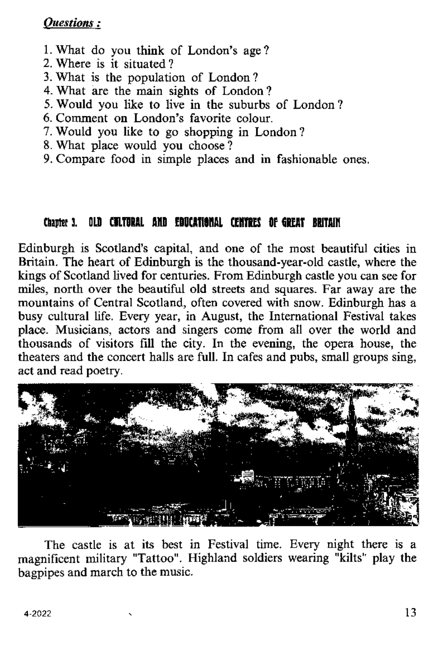## **.**

- 1. What do you think of London's age?<br>2. Where is it situated?
- 
- 2. Where is it situated ?<br>3. What is the population of London?
- 4. What are the main sights of London?
- 5. Would you like to live in the suburbs of London?
- 6. Comment on London's favorite colour.
- 7. Would you like to go shopping in London?
- 8. What place would you choose?
- 9. Compare food in simple places and in fashionable ones.

## Chantor 1. OLD GBLTDRAL GMD FOUCATIONS! CENTREC OF GREAT RUITAIN

Edinburgh is Scotland's capital, and one of the most beautiful cities in Britain. The heart of Edinburgh is the thousand-year-old castle, where the kings of Scotland lived for centuries. From Edinburgh castle you can see for miles, north over the beautiful old streets and squares. Far away are the mountains of Central Scotland, often covered with snow. Edinburgh has a busy cultural life. Every year, in August, the International Festival takes place. Musicians, actors and singers come from all over the world and thousands of visitors fill the city. In the evening, the opera house, the theaters and the concert halls are full. In cafes and pubs, small groups sing, act and read poetry.



The castle is at its best in Festival time. Every night there is a magnificent military "Tattoo". Highland soldiers wearing "kilts" play the bagpipes and march to the music.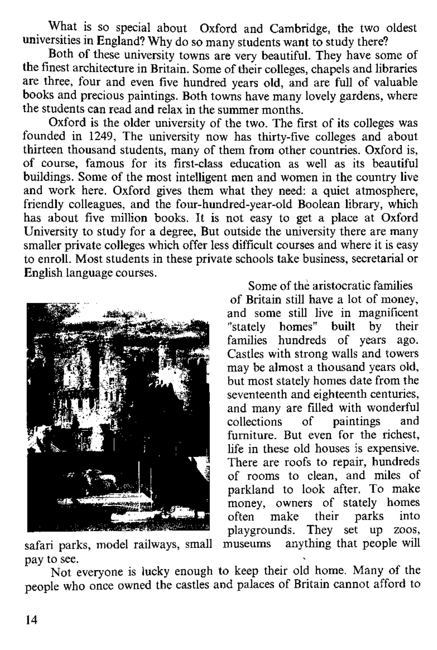What is so special about Oxford and Cambridge, the two oldest universities in England? Why do so many students want to study there?

Both of these university towns are very beautiful. They have some of the finest architecture in Britain. Some of their colleges, chapels and libraries are three, four and even five hundred years old, and are full of valuable books and precious paintings. Both towns have many lovely gardens, where the students can read and relax in the summer months.

Oxford is the older university of the two. The first of its colleges was founded in 1249. The university now has thirty-five colleges and about thirteen thousand students, many of them from other countries. Oxford is, of course, famous for its first-class education as well as its beautiful buildings. Some of the most intelligent men and women in the country live and work here. Oxford gives them what they need: a quiet atmosphere, friendly colleagues, and the four-hundred-year-old Boolean library, which has about five million books. It is not easy to get a place at Oxford University to study for a degree. But outside the university there are many smaller private colleges which offer less difficult courses and where it is easy to enroll. Most students in these private schools take business, secretarial or English language courses.



Some of the aristocratic families of Britain still have a lot of money. and some still live in magnificent<br>"stately homes" built by their homes" built by their families hundreds of years ago.<br>Castles with strong walls and towers may be almost a thousand years old. but most stately homes date from the seventeenth and eighteenth centuries. and many are filled with wonderful<br>collections of paintings and collections of furniture. But even for the richest, life in these old houses is expensive. There are roofs to repair, hundreds of rooms to clean, and miles of parkland to look after. To make money, owners of stately homes<br>often make their parks into their parks playgrounds. They set up zoos,<br>museums anything that people will

safari parks, model railways, small pay to see.

Not everyone is lucky enough to keep their old home. Many of the people who once owned the castles and palaces of Britain cannot afford to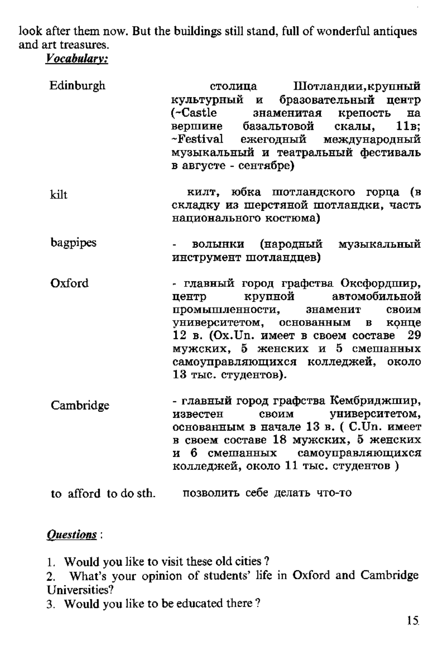look after them now. But the buildings still stand, full of wonderful antiques and out teaconum

| Edinburgh | Шотландии, крупный<br>столица                                                                                                                                                                                     |
|-----------|-------------------------------------------------------------------------------------------------------------------------------------------------------------------------------------------------------------------|
|           | бразовательный центр<br>культурный<br>и<br>(-Castle<br>знаменитая<br>крепость<br>на<br>11в.<br>базальтовой<br>скалы.<br>вершине<br>~Festival<br>ежеголный<br>международный<br>музыкальный и театральный фестиваль |
|           | в августе - сентябре)                                                                                                                                                                                             |

- килт, юбка шотландского горпа (в  $1 - 11$ склалку из шерстяной шотландки, часть  $HATHOHAHHOPO KOCHHOMA)$
- bagpipes вольники (народный музыкальный инструмент шотландиев)
- Oxford - главный горол графства Оксфордцию.  $k$ nvuroù **Herro**  $ARTOMOQHHRHOH$ промышленности. знаменит **CROWN** университетом, основанным в **ROHTIP** 12 в. (Ох. Un. имеет в своем составе 29  $MVKCKMX$ , 5 женских и 5 смешанных самоуправляющихся колледжей, около  $13$  THC. CTVROTTOR).
- главный город графства Кембриджшир, Cambridge **MODOCTON** своим университетом. основанным в начале 13 в. (С. Un. имеет в своем составе 18 мужских. 5 женских и 6 смешанных самоуправляющихся колледжей, около 11 тыс. студентов)

to afford to do sth. позволить себе делать что-то

## **Ouestions:**

- 1. Would you like to visit these old cities?
- 2. What's vour opinion of students' life in Oxford and Cambridge Liniversities?
- 3. Would you like to be educated there?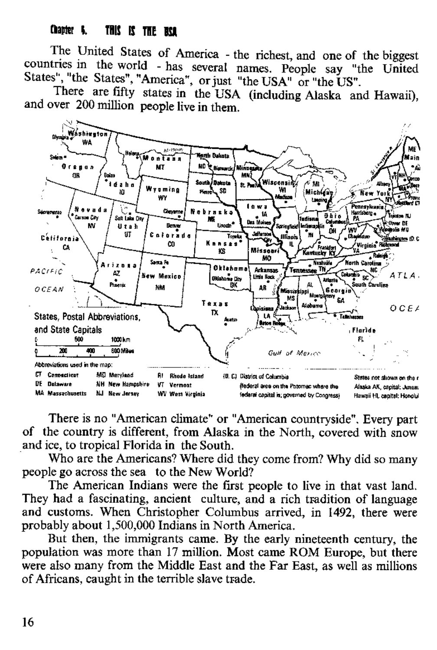## Chapter & THIS IS THE BOX

The United States of America - the richest, and one of the biggest countries in the world - has several names. People say "the United States", "the States", "America", or just "the USA" or "the US".

There are fifty states in the USA (including Alaska and Hawaii), and over 200 million people live in them.



There is no "American climate" or "American countryside". Every part of the country is different, from Alaska in the North, covered with snow and ice, to tropical Florida in the South.

Who are the Americans? Where did they come from? Why did so many people go across the sea to the New World?

The American Indians were the first people to live in that vast land. They had a fascinating, ancient culture, and a rich tradition of language and customs. When Christopher Columbus arrived, in 1492, there were probably about 1,500,000 Indians in North America.

But then, the immigrants came. By the early nineteenth century, the population was more than 17 million. Most came ROM Europe, but there were also many from the Middle East and the Far East, as well as millions of Africans, caught in the terrible slave trade.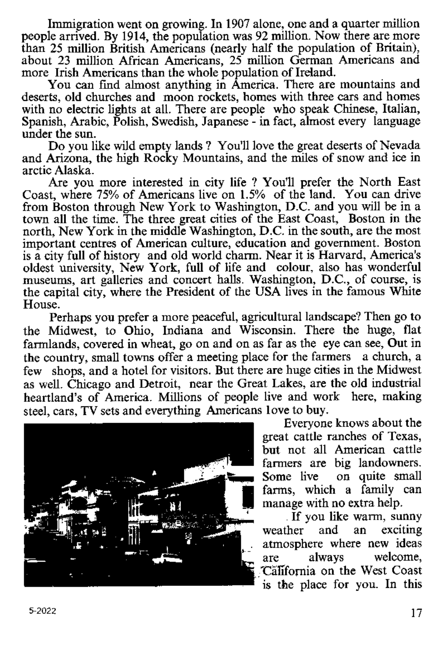Immigration went on growing. In 1907 alone, one and a quarter million people arrived. By 1914, the population was 92 million. Now there are more than 25 million British Americans (nearly half the population of Britain). about 23 million African Americans, 25 million German Americans and more Irish Americans than the whole population of Ireland.

You can find almost anything in America. There are mountains and deserts, old churches and moon rockets, homes with three cars and homes with no electric lights at all. There are people who speak Chinese, Italian, Spanish, Arabic, Polish, Swedish, Japanese - in fact, almost every language under the sun.

Do you like wild empty lands ? You'll love the great deserts of Nevada and Arizona, the high Rocky Mountains, and the miles of snow and ice in arctic A laska.

Are you more interested in city life ? You'll prefer the North East Coast, where  $75%$  of Americans live on  $1.5%$  of the land. You can drive from Boston through New York to Washington, D.C. and you will be in a town all the time. The three great cities of the East Coast. Boston in the north. New York in the middle Washington, D.C. in the south, are the most important centres of American culture, education and government. Boston is a city full of history and old world charm. Near it is Harvard, America's oldest university. New York, full of life and colour, also has wonderful museums, art galleries and concert halls. Washington, D.C., of course, is the capital city, where the President of the USA lives in the famous White House.

Perhaps you prefer a more peaceful, agricultural landscape? Then go to the Midwest, to Ohio. Indiana and Wisconsin. There the huge, flat farmlands, covered in wheat, go on and on as far as the eve can see. Out in the country, small towns offer a meeting place for the farmers a church, a few shops, and a hotel for visitors. But there are huge cities in the Midwest as well. Chicago and Detroit, near the Great Lakes, are the old industrial heartland's of America. Millions of people live and work here, making steel, cars, TV sets and everything Americans love to buy.



Everyone knows about the great cattle ranches of Texas. but not all American cattle farmers are big landowners. Some live on quite small farms, which a family can manage with no extra help.

If you like warm, sunny<br>weather and an exciting and an atmosphere where new ideas are always welcome, **'California on the West Coast** is the place for you. In this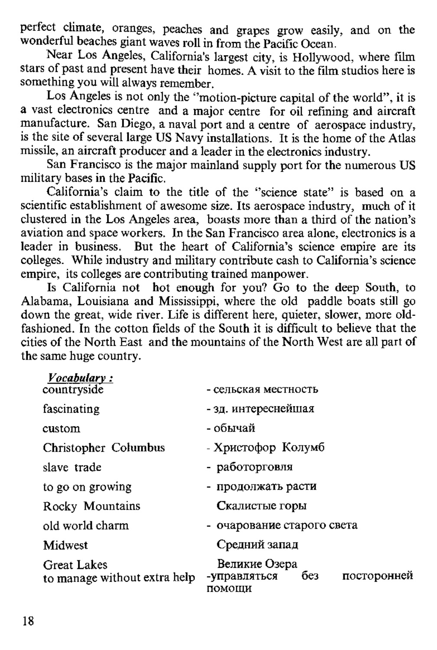perfect climate, oranges, peaches and grapes grow easily, and on the wonderful beaches giant waves roll in from the Pacific Ocean.

Near Los Angeles, California's largest city, is Hollywood, where film stars of past and present have their homes. A visit to the film studios here is something you will always remember.

Los Angeles is not only the "motion-picture capital of the world", it is a vast electronics centre and a major centre for oil refining and aircraft manufacture. San Diego, a naval port and a centre of aerospace industry, is the site of several large US Navy installations. It is the home of the Atlas missile, an aircraft producer and a leader in the electronics industry.

San Francisco is the major mainland supply port for the numerous US military bases in the Pacific.

California's claim to the title of the "science state" is based on a scientific establishment of awesome size. Its aerospace industry, much of it clustered in the Los Angeles area, boasts more than a third of the nation's aviation and space workers. In the San Francisco area alone, electronics is a leader in business. But the heart of California's science empire are its colleges. While industry and military contribute cash to California's science empire, its colleges are contributing trained manpower.

Is California not hot enough for you? Go to the deep South, to Alabama, Louisiana and Mississippi, where the old paddle boats still go down the great, wide river. Life is different here, quieter, slower, more oldfashioned. In the cotton fields of the South it is difficult to believe that the cities of the North East and the mountains of the North West are all part of the same huge country.

| Vocabulary:                                        |                                                               |
|----------------------------------------------------|---------------------------------------------------------------|
| countryside                                        | - сельская местность                                          |
| fascinating                                        | - зд. интереснейшая                                           |
| custom                                             | - обычай                                                      |
| Christopher Columbus                               | - Христофор Колумб                                            |
| slave trade                                        | - работорговля                                                |
| to go on growing                                   | - продолжать расти                                            |
| Rocky Mountains                                    | Скалистые горы                                                |
| old world charm                                    | - очарование старого света                                    |
| Midwest                                            | Средний запад                                                 |
| <b>Great Lakes</b><br>to manage without extra help | Великие Озера<br>без<br>посторонней<br>-управляться<br>помоши |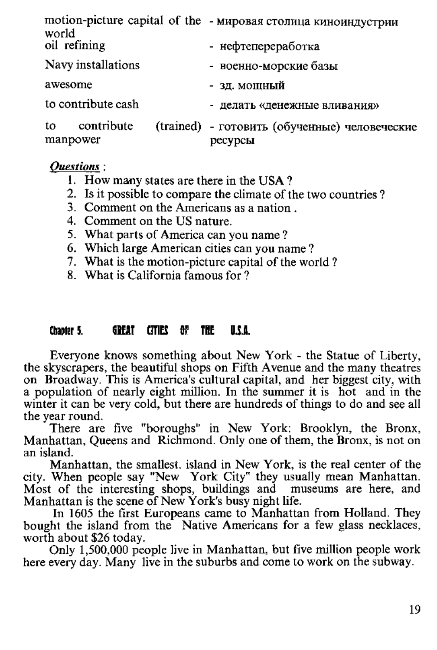| world                        | motion-picture capital of the - мировая столица киноиндустрии |  |  |
|------------------------------|---------------------------------------------------------------|--|--|
| oil refining                 | - нефтепереработка                                            |  |  |
| Navy installations           | - военно-морские базы                                         |  |  |
| awesome                      | - зд. мощный                                                  |  |  |
| to contribute cash           | - делать «денежные вливания»                                  |  |  |
| contribute<br>to<br>manpower | (trained) - готовить (обученные) человеческие<br>ресурсы      |  |  |

#### **Ouestions**:

- 1. How many states are there in the USA?
- 2. Is it possible to compare the climate of the two countries?
- 3. Comment on the Americans as a nation
- 4. Comment on the US nature.
- 5. What parts of America can you name?
- 6. Which large American cities can you name?
- 7. What is the motion-picture capital of the world?
- 8 What is California famous for ?

#### GREAT CITIES OF THE D.C.O. Chantor 5

Everyone knows something about New York - the Statue of Liberty, the skyscrapers, the beautiful shops on Fifth Avenue and the many theatres on Broadway. This is America's cultural capital, and her biggest city, with a population of nearly eight million. In the summer it is hot and in the winter it can be very cold, but there are hundreds of things to do and see all the vear round.

There are five "boroughs" in New York: Brooklyn, the Bronx, Manhattan, Queens and Richmond. Only one of them, the Bronx, is not on an island.

Manhattan, the smallest, island in New York, is the real center of the Mannatian, the summatic School Mannatian and Mannatian.<br>Most of the interesting shops, buildings and museums are here, and<br>Manhattan is the scene of New York's busy night life.

In 1605 the first Europeans came to Manhattan from Holland. They bought the island from the Native Americans for a few glass necklaces, worth about \$26 today.

Only 1,500,000 people live in Manhattan, but five million people work here every day. Many live in the suburbs and come to work on the subway.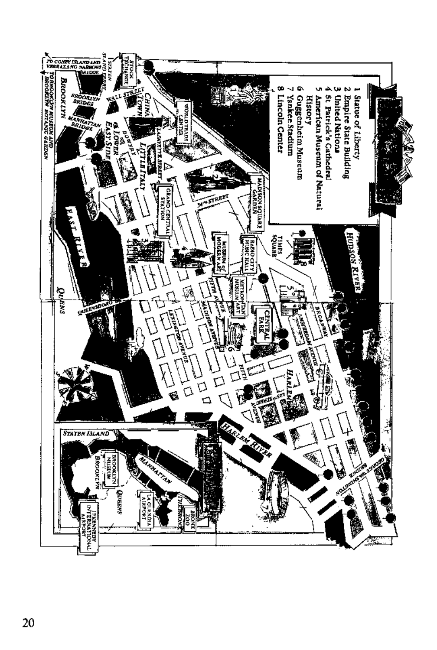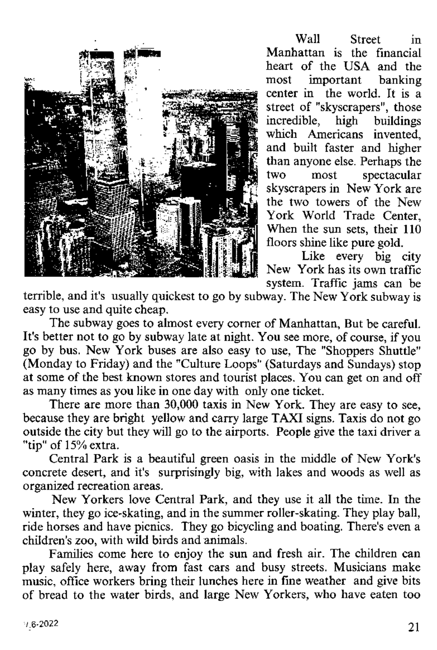

 $W_0$ ll Street in Manhattan is the financial heart of the USA and the<br>most important banking important banking center in the world. It is a street of "skyscrapers", those<br>incredible high buildings incredible, high buildings w hich A m ericans invented, and built faster and higher than anyone else. Perhaps the<br>two most spectacular two most spectacular<br>skyscrapers in New York are the two towers of the New York World Trade Center When the sun sets, their 110 floors shine like pure gold.

Like every big city New York has its own traffic system. Traffic jams can be

terrible, and it's usually quickest to go by subway. The New York subway is easy to use and quite cheap.

The subway goes to almost every corner of Manhattan. But be careful. It's better not to go by subway late at night. You see more, of course, if you go by bus. New York buses are also easy to use. The "Shoppers Shuttle" (Monday to Friday) and the "Culture Loops" (Saturdays and Sundays) stop at some of the best known stores and tourist places. You can get on and off as many times as you like in one day with only one ticket.

There are more than 30,000 taxis in New York. They are easy to see, because they are bright vellow and carry large TAXI signs. Taxis do not go outside the city but they will go to the airports. People give the taxi driver a "tip" of 15% extra.

Central Park is a beautiful green oasis in the middle of New York's concrete desert, and it's surprisingly big, with lakes and woods as well as organized recreation areas.

New Yorkers love Central Park, and they use it all the time. In the winter, they go ice-skating, and in the summer roller-skating. They play ball, ride horses and have picnics. They go bicycling and boating. There's even a children's zoo, with wild birds and animals.

Families come here to enjoy the sun and fresh air. The children can play safely here, away from fast cars and busy streets. Musicians make music, office workers bring their lunches here in fine weather and give bits of bread to the water birds, and large New Yorkers, who have eaten too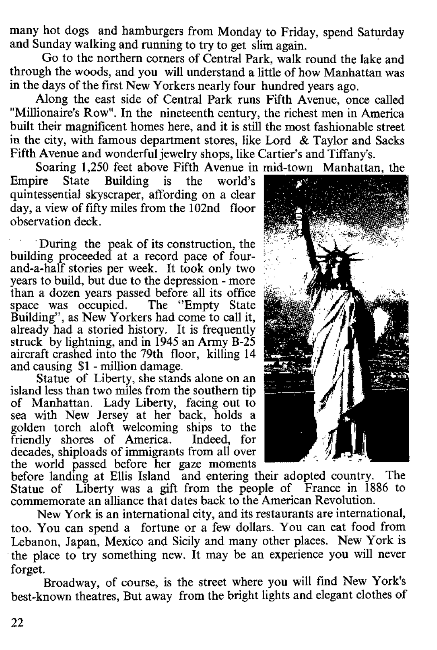many hot dogs and hamburgers from Monday to Friday, spend Saturday and Sunday walking and running to try to get slim again.

Go to the northern corners of Central Park, walk round the lake and through the woods, and you will understand a little of how Manhattan was in the days of the first New Yorkers nearly four hundred years ago.

Along the east side of Central Park runs Fifth Avenue, once called "Millionaire's Row". In the nineteenth century, the richest men in America built their magnificent homes here, and it is still the most fashionable street in the city, with famous department stores, like Lord  $\&$  Taylor and Sacks Fifth Avenue and wonderful jewelry shops, like Cartier's and Tiffany's.

Soaring 1,250 feet above Fifth Avenue in mid-town Manhattan, the state Building is the world's

Empire State quintessential skyscraper, affording on a clear  $d$ ay, a view of fifty miles from the  $102nd$  floor observation deck

During the peak of its construction, the building proceeded at a record pace of fourand a-half stories per week. It took only two years to build, but due to the depression - more than a dozen years passed before all its office<br>space was occupied. The "Empty State" space was occupied. Building", as New Yorkers had come to call it, already had a storied history. It is frequently struck by lightning, and in 1945 an Army B-25 aircraft crashed into the 79th floor, killing 14 and causing \$1 - million damage.

Statue of Liberty, she stands alone on an island less than two miles from the southern tip of Manhattan. Lady Liberty, facing out to sea with New Jersey at her back, holds a golden torch aloft welcoming ships to the friendly shores of America. Indeed, for decades, shiploads of immigrants from all over the world passed before her gaze moments



before landing at Ellis Island and entering their adopted country. The Statue of Liberty was a gift from the people of France in 1886 to commemorate an alliance that dates back to the American Revolution.

New York is an international city, and its restaurants are international, too. You can spend a fortune or a few dollars. You can eat food from Lebanon, Japan, Mexico and Sicily and many other places. New York is the place to try something new. It may be an experience you will never forget.

Broadway, of course, is the street where you will find New York's best-known theatres, But away from the bright lights and elegant clothes of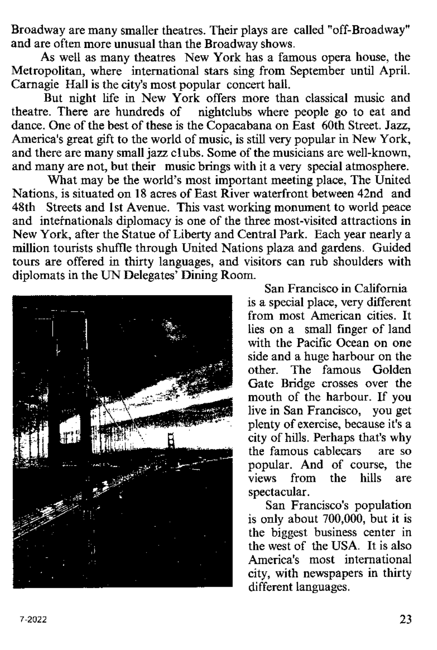Broadway are many smaller theatres. Their plays are called "off-Broadway" and are often more unusual than the Broadway shows.

As well as many theatres New York has a famous opera house, the Metropolitan where international stars sing from September until April. Carnagie Hall is the city's most popular concert hall.

But night life in New York offers more than classical music and theatre. There are hundreds of nightclubs where people go to eat and dance. One of the best of these is the Conacabana on East 60th Street. Jazz, America's great gift to the world of music, is still very popular in New York. and there are many small jazz clubs. Some of the musicians are well-known. and many are not, but their music brings with it a very special atmosphere.

What may be the world's most important meeting place. The United Nations, is situated on 18 acres of East River waterfront between 42nd, and 48th Streets and 1st Avenue. This vast working monument to world peace and internationals diplomacy is one of the three most-visited attractions in New York, after the Statue of Liberty and Central Park. Each year nearly a million tourists shuffle through United Nations plaza and gardens. Guided tours are offered in thirty languages, and visitors can rub shoulders with diplomats in the UN Delegates' Dining Room



San Francisco in California is a special place, very different from most American cities. It lies on a small finger of land with the Pacific Ocean on one side and a huge harbour on the other. The famous Golden Gate Bridge crosses over the mouth of the harbour. If you live in San Francisco. vou get  $m \cdot m$  can  $r$  remains  $n \cdot r$ ,  $r \cdot r$  g. city of hills. Perhaps that's why the fam ous cablecars are so popular. And of course, the views from the hills spectacular.

San Francisco's population is only about 700,000, but it is the biggest business center in the west of the USA. It is also America's most international city, with newspapers in thirty different languages.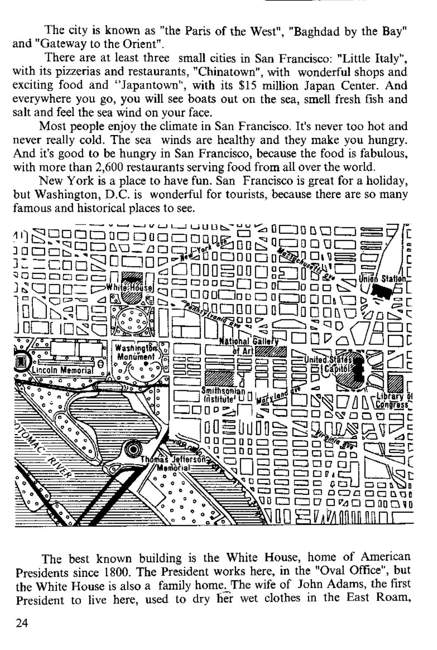The city is known as "the Paris of the West". "Baghdad by the Bay" and "Gateway to the Orient"

There are at least three small cities in San Francisco: "Little Italy" with its pizzerias and restaurants. "Chinatown" with wonderful shops and exciting food and "Japantown", with its \$15 million Japan Center. And everywhere you go, you will see boats out on the sea, smell fresh fish and salt and feel the sea wind on your face.

Most people enjoy the climate in San Francisco. It's never too hot and never really cold. The sea, winds are healthy and they make you hungry And it's good to be hungry in San Francisco, because the food is fabulous. with more than 2.600 restaurants serving food from all over the world.

New York is a place to have fun. San Francisco is great for a holiday. but Washington, D.C. is wonderful for tourists, because there are so many famous and historical places to see.



The best known building is the White House, home of American Presidents since 1800. The President works here, in the "Oval Office", but the White House is also a family home. The wife of John Adams, the first President to live here, used to dry her wet clothes in the East Roam,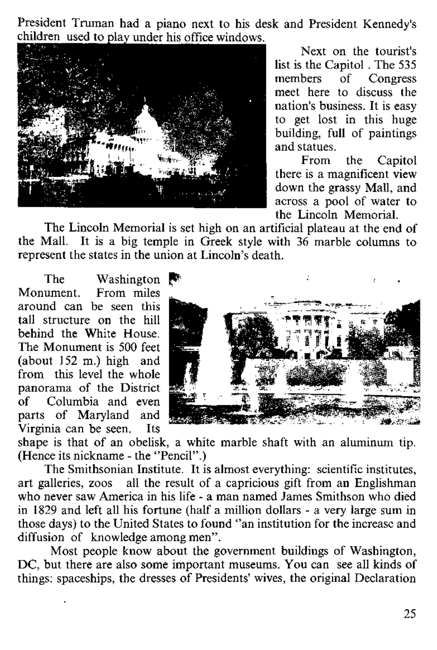President Truman had a piano next to his desk and President Kennedy's children used to play under his office windows



Next on the tourist's list is the Capitol . The 535<br>members of Congress of Congress meet here to discuss the nation's business. It is easy to get lost in this huge  $b$ <sup>1</sup> building, full of paintings and statues.

From the Capitol there is a magnificent view down the grassy Mall, and across a pool of water to the Lincoln Memorial

The Lincoln Memorial is set high on an artificial plateau at the end of the Mall. It is a big temple in Greek style with 36 marble columns to represent the states in the union at Lincoln's death.

The Washington  $\blacksquare$ <br>Monument From miles From miles around can be seen this tall structure on the hill behind the White House. The Monument is 500 feet (about  $152$  m.) high and from this level the whole panorama of the District<br>of Columbia and even Columbia and even parts of Maryland and<br>Virginia can be seen Its Virginia can be seen.



shape is that of an obelisk, a white marble shaft with an aluminum tip. (Hence its nickname - the "Pencil")

The Smithsonian Institute. It is almost everything: scientific institutes, art galleries, zoos all the result of a capricious gift from an Englishman who never saw America in his life - a man named James Smithson who died in 1829 and left all his fortune (half a million dollars - a very large sum in those days) to the United States to found "an institution for the increase and diffusion of knowledge among men".

Most people know about the government buildings of Washington, DC, but there are also some important museums. You can see all kinds of things: spaceships, the dresses of Presidents' wives, the original Declaration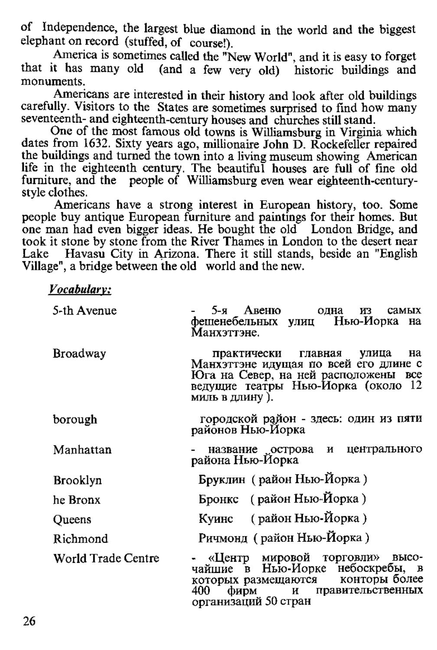of Independence, the largest blue diamond in the world and the biggest elephant on record (stuffed, of course!).

America is sometimes called the "New World", and it is easy to forget that it has many old (and a few very old) historic buildings and m onum ents.

Americans are interested in their history and look after old buildings carefully. Visitors to the States are sometimes surprised to find how many seventeenth- and eighteenth-century houses and churches still stand.

One of the most famous old towns is Williamsburg in Virginia which dates from 1632. Sixty years ago, millionaire John D. Rockefeller repaired the buildings and turned the town into a living museum showing. American life in the eighteenth century. The beautiful houses are full of fine old furniture, and the people of Williamsburg even wear eighteenth-centurystyle clothes.

Americans have a strong interest in European history, too. Some people buy antique European furniture and paintings for their homes. But one man had even bigger ideas. He bought the old London Bridge, and took it stone by stone from the River Thames in London to the desert near Lake Havasu City in Arizona. There it still stands, beside an "English" Village", a bridge between the old world and the new.

*Vocabulary:*

| 5-th Avenue        | 5-я Авеню<br>одна<br>из<br>самых<br>фешенебельных улиц Нью-Иорка на<br>Манхэттэне.                                                                                       |
|--------------------|--------------------------------------------------------------------------------------------------------------------------------------------------------------------------|
| Broadway           | на<br>практически главная улица<br>Манхэттэне идущая по всей его длине с<br>Юга на Север, на ней расположены все<br>ведущие театры Нью-Иорка (около 12<br>миль в длину). |
| borough            | городской район - здесь: один из пяти<br>районов Нью-Йорка                                                                                                               |
| Manhattan          | название острова и центрального<br>района Нью-Йорка                                                                                                                      |
| Brooklyn           | Бруклин (район Нью-Йорка)                                                                                                                                                |
| he Bronx           | Бронкс (район Нью-Йорка)                                                                                                                                                 |
| Queens             | Куинс (район Нью-Йорка)                                                                                                                                                  |
| Richmond           | Ричмонд (район Нью-Йорка)                                                                                                                                                |
| World Trade Centre | - «Центр мировой торговли»<br>высо-<br>чайшие в Нью-Иорке небоскребы, в<br>которых размещаются конторы более<br>400<br>фирм и правительственных<br>организаций 50 стран  |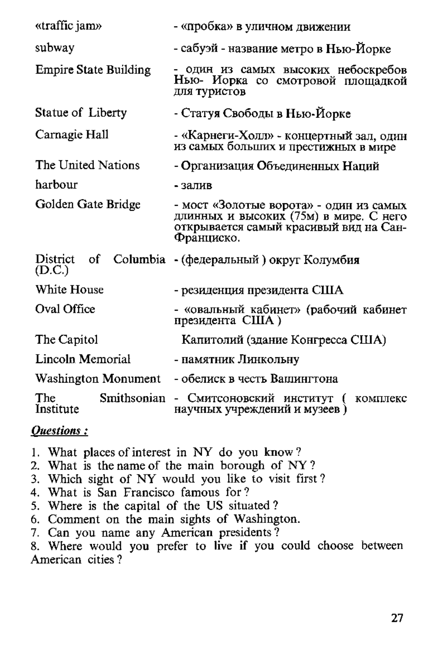| «traffic jam»                   | - «пробка» в уличном движении                                                                                                             |
|---------------------------------|-------------------------------------------------------------------------------------------------------------------------------------------|
| subway                          | - сабуэй - название метро в Нью-Йорке                                                                                                     |
| <b>Empire State Building</b>    | - один из самых высоких небоскребов<br>Нью- Иорка со смотровой плошадкой<br>для туристов                                                  |
| Statue of Liberty               | - Статуя Свободы в Нью-Йорке                                                                                                              |
| Carnagie Hall                   | - «Карнеги-Холл» - концертный зал, один<br>из самых больших и престижных в мире                                                           |
| The United Nations              | - Организация Объединенных Наций                                                                                                          |
| harbour                         | $-38.79B$                                                                                                                                 |
| Golden Gate Bridge              | - мост «Золотые ворота» - один из самых<br>длинных и высоких (75м) в мире. С него<br>открывается самый красивый вид на Сан-<br>Франциско. |
| District<br>of<br>(D.C.)        | Columbia - (федеральный) округ Колумбия                                                                                                   |
| White House                     | - резиденция президента США                                                                                                               |
| Oval Office                     | - «овальный кабинет» (рабочий кабинет<br>президента США)                                                                                  |
| The Capitol                     | Капитолий (здание Конгресса США)                                                                                                          |
| Lincoln Memorial                | - памятник Линкольну                                                                                                                      |
| Washington Monument             | - обелиск в честь Вашингтона                                                                                                              |
| Smithsonian<br>The<br>Institute | - Смитсоновский институт (<br>комплекс<br>научных учреждений и музеев)                                                                    |

## Ouestions:

- 1. What places of interest in NY do you know?
- 2. What is the name of the main borough of NY?
- 3. Which sight of NY would you like to visit first?
- 4. What is San Francisco famous for?
- 5. Where is the capital of the US situated?
- 6. Comment on the main sights of Washington.
- 7. Can you name any American presidents?

8. Where would you prefer to live if you could choose between American cities?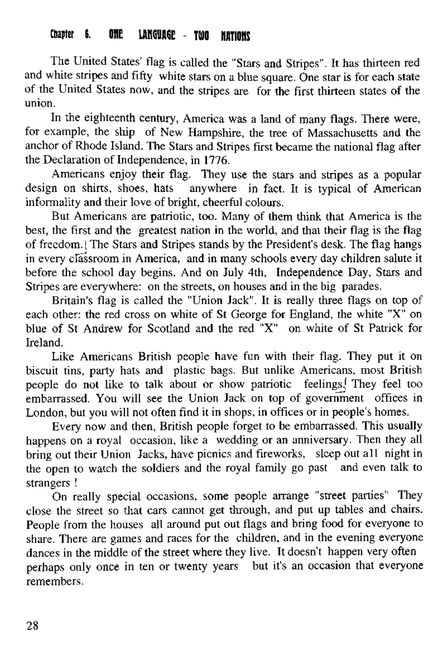## Chauter 6. ONE LANGUAGE - TOO HATIONS

The United States' flag is called the "Stars and Stripes". It has thirteen red and white stripes and fifty white stars on a blue square. One star is for each state of the United States now, and the stripes are for the first thirteen states of the union.

In the eighteenth century, America was a land of many flags. There were, for example, the ship of New Hampshire, the tree of Massachusetts and the anchor of Rhode Island. The Stars and Stripes first became the national flag after the Declaration of Independence, in 1776.

Americans enjoy their flag. They use the stars and stripes as a popular design on shirts, shoes, hats anywhere in fact. It is typical of American informality and their love o f bright, cheerful colours.

But Americans are patriotic, too. Many of them think that America is the best, the first and the greatest nation in the world, and that their flag is the flag of freedom.) The Stars and Stripes stands by the President's desk. The flag hangs in every classroom in America, and in many schools every day children salute it before the school day begins. And on July 4th, Independence Day, Stars and Stripes are everywhere: on the streets, on houses and in the big parades.

Britain's flag is called the "Union Jack". It is really three flags on top of each other: the red cross on white of St George for England, the white " $X$ " on blue of St Andrew for Scotland and the red "X" on white of St Patrick for Ireland.

Like Americans British people have fun with their flag. They put it on biscuit tins, party hats and plastic bags. But unlike Americans, most British people do not like to talk about or show patriotic feelings. They feel too embarrassed. You will see the Union Jack on top of government offices in London, but you will not often find it in shops, in offices or in people's homes.

Every now and then, British people forget to be embarrassed. This usually happens on a royal occasion, like a wedding or an anniversary. Then they all bring out their Union Jacks, have picnics and fireworks, sleep out a ll night in the open to watch the soldiers and the royal family go past and even talk to strangers !

On really special occasions, some people arrange "street parties" They close the street so that cars cannot get through, and put up tables and chairs. People from the houses all around put out flags and bring food for everyone to share. There are games and races for the children, and in the evening everyone dances in the middle of the street where they live. It doesn't happen very often perhaps only once in ten or twenty years but it's an occasion that everyone remembers.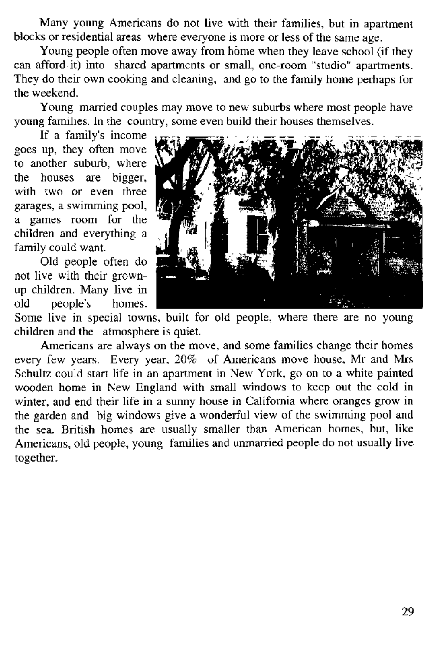Many young Americans do not live with their families, but in apartment blocks or residential areas, where everyone is more or less of the same age.

Young people often m ove away from home w hen they leave school (if they can afford it) into shared apartments or small, one-room "studio" apartments. They do their own cooking and cleaning, and go to the family home perhaps for the weekend.

Young married couples may move to new suburbs where most people have young families. In the country, some even build their houses themselves.

If a family's income goes up, they often move to another suburb, where the houses are bigger, with two or even three garages, a swimming pool, a games room for the children and everything a family could want.

Old people often do not live with their grownup children. Many live in<br>old neonle's homes old people's



Some live in special towns, built for old people, where there are no young children and the atmosphere is quiet.

Americans are always on the move, and some families change their homes every few years. Every year, 20% of Americans move house, Mr and Mrs Schultz could start life in an apartment in New York, go on to a white painted wooden home in New England with small windows to keep out the cold in winter, and end their life in a sunny house in California where oranges grow in the garden and big windows give a wonderful view of the swimming pool and the sea. British homes are usually smaller than American homes, but, like Americans, old people, young families and unmarried people do not usually live together.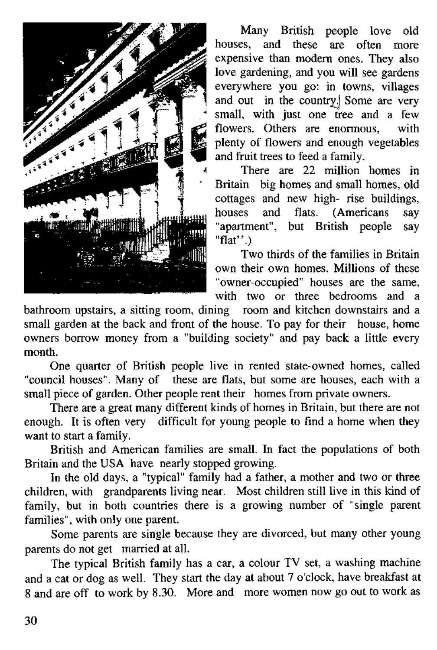

Many British people love old houses, and these are often more expensive than modern ones. They also love gardening, and you will see gardens everywhere you go: in towns, villages and out in the country. Some are very small, with just one tree and a few flowers. Others are enormous, with plenty o f flowers and enough vegetables and fruit trees to feed a family.

There are 22 million homes in Britain big homes and small homes, old cottages and new high- rise buildings,<br>houses and flats. (Americans say houses and flats. (Americans "apartment", but British people say "flat" .)

Two thirds of the families in Britain own their own homes. Millions of these "owner-occupied" houses are the same, with two or three bedrooms and a

bathroom upstairs, a sitting room, dining room and kitchen downstairs and a small garden at the back and front of the house. To pay for their house, home owners borrow money from a "building society" and pay back a little every month.

One quarter of British people live in rented state-owned homes, called "council houses". Many of these are flats, but some are houses, each with a small piece of garden. Other people rent their homes from private owners.

There are a great many different kinds of homes in Britain, but there are not enough. It is often very difficult for young people to find a home when they want to start a family.

British and American families are small. In fact the populations of both Britain and the USA have nearly stopped growing.

In the old days, a "typical" family had a father, a mother and two or three children, with grandparents living near. Most children still live in this kind of family, but in both countries there is a growing number of "single parent families", with only one parent.

Some parents are single because they are divorced, but many other young parents do not get married at all.

The typical British family has a car, a colour TV set, a washing machine and a cat or dog as well. They start the day at about 7 o'clock, have breakfast at 8 and are off to work by 8.30. More and more women now go out to work as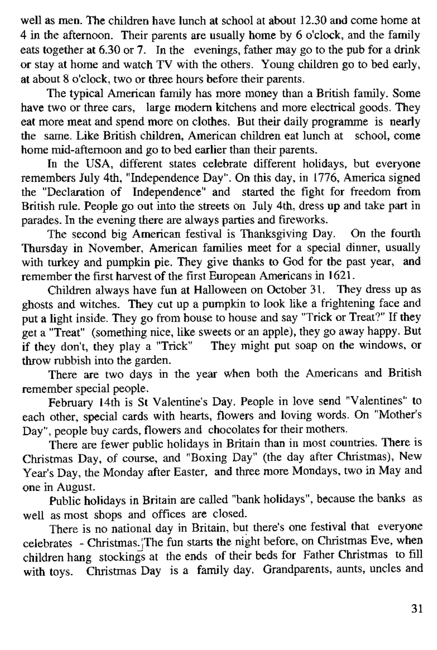well as men. The children have lunch at school at about 12.30 and come home at  $4$  in the afternoon. Their parents are usually home by 6 o'clock, and the family eats together at 6.30 or 7. In the evenings, father may go to the nub for a drink or stay at home and watch TV with the others. Young children go to bed early, at about 8 o'clock, two or three hours before their parents.

The typical American family has more money than a British family. Some have two or three cars, large modern kitchens and more electrical goods. They eat more meat and spend more on clothes. But their daily programme is nearly the same. Like British children, American children eat lunch at school, come home mid-afternoon and go to bed earlier than their parents.

In the USA, different states celebrate different holidays, but everyone remembers July 4th, "Independence Day". On this day, in 1776, America signed the "Declaration of Independence" and started the fight for freedom from British m le. People go out into the streets on July 4th, dress up and take part in parades. In the evening there are always parties and fireworks.

The second big American festival is Thanksgiving Day. On the fourth Thursday in November, American families meet for a special dinner, usually with turkey and pumpkin pie. They give thanks to God for the past year, and remember the first harvest of the first European Americans in 1621.

Children always have fun at Halloween on October 31. They dress up as ghosts and witches. They cut up a pum pkin to look like a frightening face and put a light inside. They go from house to house and say "Trick or Treat?" If they get a "Treat" (something nice, like sweets or an apple), they go away happy. But if they don't, they play a "Trick" They might put soap on the windows, or throw rubbish into the garden.

There are two days in the year when both the Americans and British remember special people.

February 14th is St Valentine's Day. People in love send "Valentines" to each other, special cards with hearts, flowers and loving words. On "Mother's Day", people buy cards, flowers and chocolates for their mothers.

There are fewer public holidays in Britain than in most countries. There is Christmas Day, of course, and "Boxing Day" (the day after Christmas), New Year's Day, the Monday after Easter, and three more Mondays, two in May and one in August.

Public holidays in Britain are called "bank holidays", because the banks as well as most shops and offices are closed.

There is no national day in Britain, but there's one festival that everyone celebrates - Christmas. ;The fun starts the night before, on Christmas Eve, when children hang stockings at the ends of their beds for Father Christmas to fill with toys. Christmas Day is a family day. Grandparents, aunts, uncles and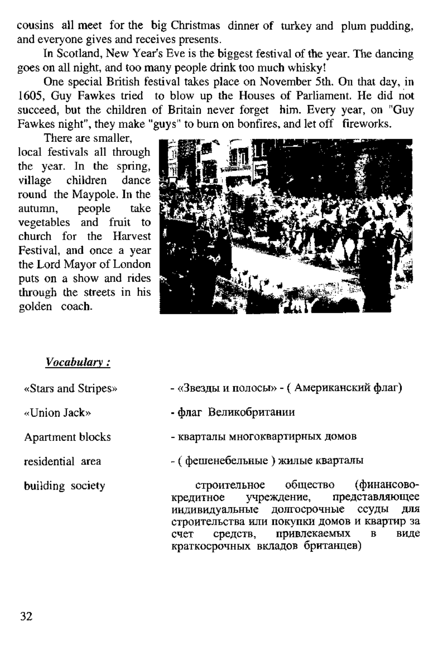cousins all meet for the big Christmas dinner of turkey and plum pudding, and everyone gives and receives presents.

In Scotland, New Year's Eve is the biggest festival of the year. The dancing goes on all night, and too many people drink too much whisky!

One special British festival takes place on November 5th. On that day, in 1605. Guy Fawkes tried to blow up the Houses of Parliament. He did not succeed, but the children of Britain never forget him. Every year, on "Guy Fawkes night", they make "guys" to burn on bonfires, and let off fireworks.

There are smaller local festivals all through the year. In the spring,<br>village children dance village children round the Maypole. In the<br>sutunn people take people vegetables and fruit to church for the Harvest Festival, and once a year the Lord Mayor of London puts on a show and rides through the streets in his golden coach.



#### *V ocabulary:*

- 
- 
- 
- 

- «Stars and Stripes» «Звезды и полосы» (Американский флаг)
- «Union Jack» флаг Великобритании
- Apartment blocks кварталы многоквартирных домов
- residential area ( фешенебельные ) жилые кварталы

building society **c**троительное общество (финансово-<br>крелитное учреждение, представляющее кредитное учреждение, представляющее<br>индивидуальные долгосрочные ссуды для долгосрочные ссуды строительства или покупки домов и квартир за<br>счет спелств. привлекаемых в виде счет спелств, привлекаемых краткосрочных вкладов британцев)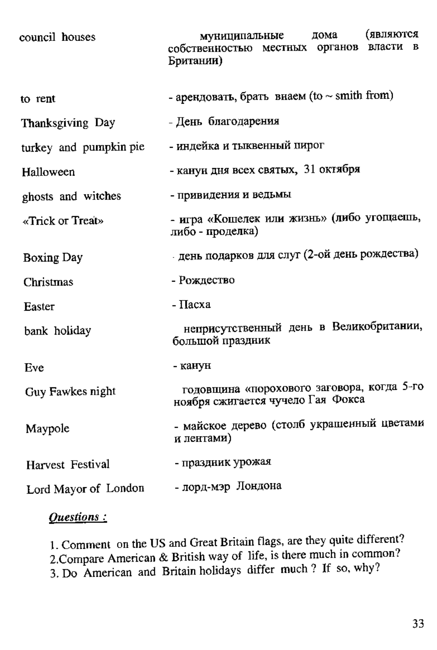| council houses         | (являются<br>лома<br>муниципальные<br>собственностью местных органов власти<br>B<br>Британии) |
|------------------------|-----------------------------------------------------------------------------------------------|
| to rent                | - арендовать, брать внаем (to $\sim$ smith from)                                              |
| Thanksgiving Day       | - Лень благодарения                                                                           |
| turkey and pumpkin pie | - индейка и тыквенный пирог                                                                   |
| Halloween              | - канун дня всех святых, 31 октября                                                           |
| ghosts and witches     | - привидения и ведьмы                                                                         |
| «Trick or Treat»       | - игра «Кошелек или жизнь» (либо угощаешь,<br>либо - проделка)                                |
| <b>Boxing Day</b>      | день подарков для слуг (2-ой день рождества)                                                  |
| Christmas              | - Рождество                                                                                   |
| Easter                 | - Пасха                                                                                       |
| bank holiday           | неприсутственный день в Великобритании,<br>большой праздник                                   |
| Eve                    | - канун                                                                                       |
| Guy Fawkes night       | годовщина «порохового заговора, когда 5-го<br>ноября сжитается чучело Гая Фокса               |
| Maypole                | - майское дерево (столб украшенный цветами<br>и лентами)                                      |
| Harvest Festival       | - праздник урожая                                                                             |
| Lord Mayor of London   | - лорд-мэр Лондона                                                                            |

## Questions:

1. Comment on the US and Great Britain flags, are they quite different?<br>2. Compare American & British way of life, is there much in common?<br>3. Do American and Britain holidays differ much? If so, why?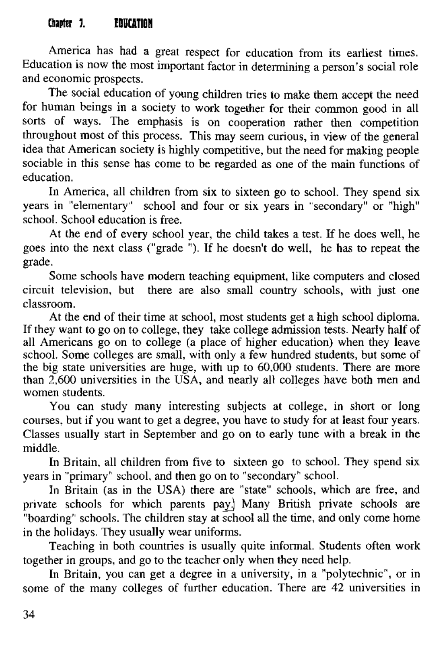## Chanter 1 . PRUCATION

Am erica has had a great respect for education from its earliest times. Education is now the most important factor in determining a person's social role and economic prospects.

The social education of young children tries to make them accept the need for human beings in a society to work together for their common good in all sorts of ways. The emphasis is on cooperation rather then competition throughout most of this process. This may seem curious, in view of the general idea that American society is highly competitive, but the need for making people sociable in this sense has come to be regarded as one of the main functions of education.

In America, all children from six to sixteen go to school. They spend six years in "elementary" school and four or six years in "secondary" or "high" school. School education is free.

At the end of every school year, the child takes a test. If he does well, he goes into the next class ("grade "). If he doesn't do well, he has to repeat the grade.

Some schools have modern teaching equipment, like computers and closed circuit television, but there are also small country schools, with just one classroom.

At the end of their time at school, most students get a high school diploma. If they want to go on to college, they take college admission tests. Nearly half of all Americans go on to college (a place of higher education) when they leave school. Some colleges are small, with only a few hundred students, but some of the big state universities are huge, with up to 60,000 students. There are more than 2,600 universities in the USA, and nearly all colleges have both men and women students.

You can study many interesting subjects at college, in short or long courses, but if you want to get a degree, you have to study for at least four years. Classes usually start in September and go on to early tune with a break in the middle.

In Britain, all children from five to sixteen go to school. They spend six years in "primary" school, and then go on to "secondary" school.

In Britain (as in the USA) there are "state" schools, which are free, and private schools for which parents pay. Many British private schools are "boarding" schools. The children stay at school all the time, and only come home in the holidays. They usually wear uniforms.

Teaching in both countries is usually quite informal. Students often work together in groups, and go to the teacher only when they need help.

In Britain, you can get a degree in a university, in a "polytechnic", or in some of the many colleges of further education. There are 42 universities in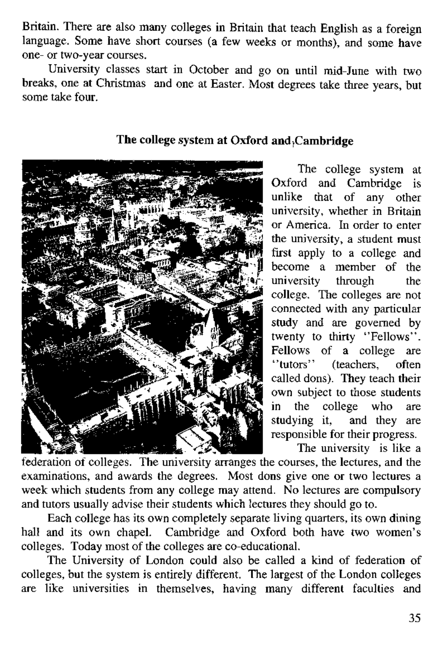Britain. There are also many colleges in Britain that teach English as a foreign language. Some have short courses (a few weeks or months), and some have one- or two-year courses.

University classes start in October and go on until mid-June with two breaks, one at Christmas and one at Easter. Most degrees take three years, but some take four.



## The college system at Oxford and .Cambridge

The college system at Oxford and Cambridge is unlike that of any other university, whether in Britain or America. In order to enter the university, a student must first apply to a college and become a member of the<br>university through the university through college. The colleges are not connected with any particular study and are governed by twenty to thirty "Fellows". Fellows of a college are<br>"tutors" (teachers often fteachers often called dons). They teach their own subject to those students in the college who are studying it, and they are responsible for their progress.

The university is like a

federation of colleges. The university arranges the courses, the lectures, and the examinations, and awards the degrees. Most dons give one or two lectures a week which students from any college may attend. No lectures are compulsory and tutors usually advise their students which lectures they should go to.

Each college has its own completely separate living quarters, its own dining hall and its own chapel. Cambridge and Oxford both have two women's colleges. Today most of the colleges are co-educational.

The University of London could also be called a kind of federation of colleges, but the system is entirely different. The largest of the London colleges are like universities in themselves, having many different faculties and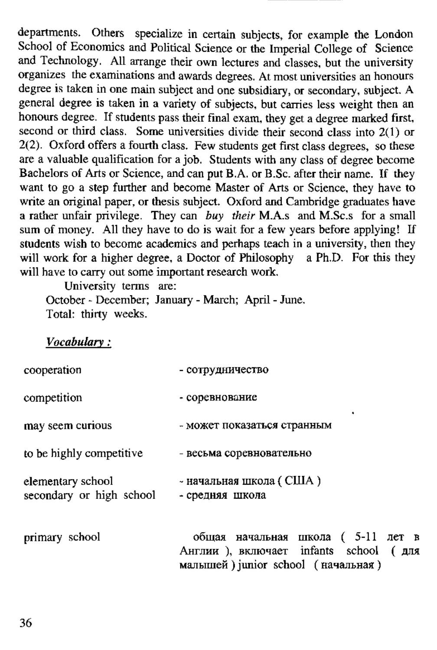departments. Others specialize in certain subjects, for example the London School of Economics and Political Science or the Imperial College of Science and Technology. All arrange their own lectures and classes, but the university organizes the exam inations and awards degrees. A t m ost universities an honours degree is taken in one main subject and one subsidiary, or secondary, subject. A general degree is taken in a variety of subjects, but carries less weight then an honours degree. If students pass their final exam, they get a degree marked first, second or third class. Some universities divide their second class into  $2(1)$  or 2(2). Oxford offers a fourth class. Few students get first class degrees, so these are a valuable qualification for a job. Students with any class of degree become Bachelors of Arts or Science, and can put B.A. or B.Sc. after their name. If they want to go a step further and become Master of Arts or Science, they have to write an original paper, or thesis subject. Oxford and Cambridge graduates have a rather unfair privilege. They can *buy their* M.A.S and M .Sc.s for a small sum of money. All they have to do is wait for a few years before applying! If students wish to become academics and perhaps teach in a university, then they will work for a higher degree, a Doctor of Philosophy a Ph.D. For this they will have to carry out some important research work.

University terms are: October - December; January - March; April - June. Total: thirty weeks.

*V ocabulary:*

| cooperation                                   | - сотрудничество                                                                                                 |
|-----------------------------------------------|------------------------------------------------------------------------------------------------------------------|
| competition                                   | - соревнование                                                                                                   |
| may seem curious                              | - может показаться странным                                                                                      |
| to be highly competitive                      | - весьма соревновательно                                                                                         |
| elementary school<br>secondary or high school | - начальная школа (США)<br>- средняя школа                                                                       |
| primary school                                | общая начальная школа (5-11 лет в<br>Англии), включает infants school (для<br>малышей) iunior school (вачальная) |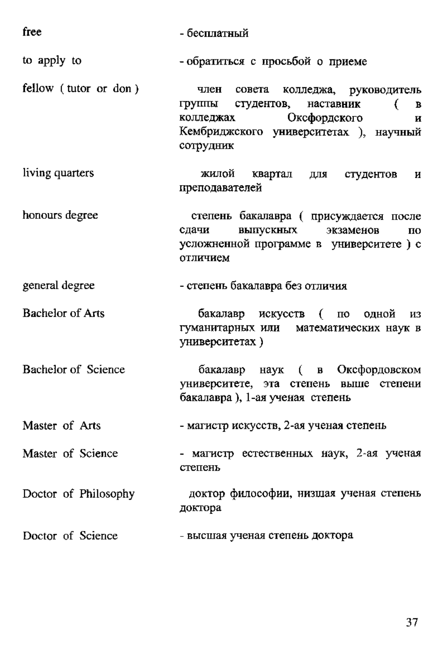| free                  | - бесплатный                                                                                                                                                            |
|-----------------------|-------------------------------------------------------------------------------------------------------------------------------------------------------------------------|
| to apply to           | - обратиться с просьбой о приеме                                                                                                                                        |
| fellow (tutor or don) | член совета<br>колледжа, руководитель<br>группы студентов, наставник<br>€<br>B<br>Оксфордского<br>колледжах<br>и<br>Кембриджского университетах ), научный<br>сотрудник |
| living quarters       | жилой квартал для<br>студентов<br>И<br>преподавателей                                                                                                                   |
| honours degree        | степень бакалавра (присуждается после<br>выпускных экзаменов<br>слачи<br>по<br>усложненной программе в университете) с<br>отличием                                      |
| general degree        | - степень бакалавра без отличия                                                                                                                                         |
| Bachelor of Arts      | бакалавр искусств (по одной<br>И3<br>гуманитарных или математических наук в<br>университетах)                                                                           |
| Bachelor of Science   | бакалавр наук ( в Оксфордовском<br>университете, эта степень выше степени<br>бакалавра), 1-ая ученая степень                                                            |
| Master of Arts        | - магистр искусств, 2-ая ученая степень                                                                                                                                 |
| Master of Science     | - магистр естественных наук, 2-ая ученая<br>степень                                                                                                                     |
| Doctor of Philosophy  | доктор философии, низшая ученая степень<br>доктора                                                                                                                      |
| Doctor of Science     | - высшая ученая степень доктора                                                                                                                                         |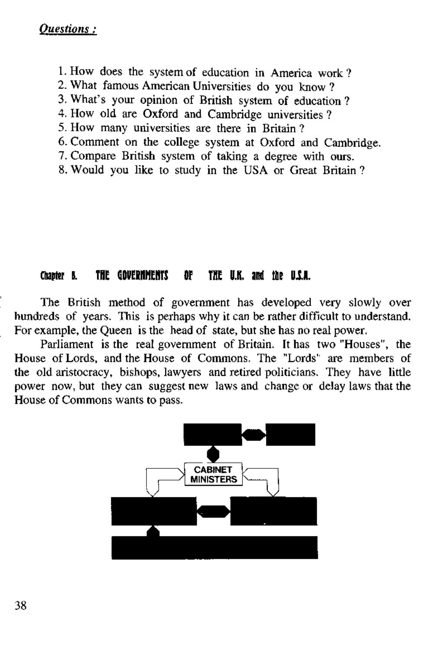- 1. How does the system of education in America work?
- 2. What famous American Universities do you know ?
- 3. What's your opinion of British system of education ?
- 4. How old are Oxford and Cambridge universities ?
- 5. How many universities are there in Britain ?
- 6. Comment on the college system at Oxford and Cambridge.
- 7. Compare British system of taking a degree with ours.
- 8. Would you like to study in the USA or Great Britain ?

#### Chanter 5. THE GOVERNMENTS OF THE U.K. and the U.S.A.

The British method of government has developed very slowly over hundreds of years. This is perhaps why it can be rather difficult to understand. For example, the Queen is the head of state, but she has no real power.

Parliament is the real government of Britain. It has two "Houses", the House of Lords, and the House of Commons. The "Lords' are members of the old aristocracy, bishops, lawyers and retired politicians. They have little power now, but they can suggest new laws and change or delay laws that the House of Commons wants to pass.

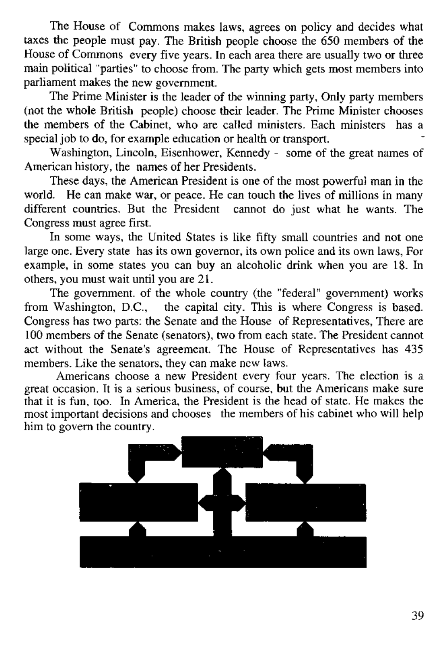The House of Commons makes laws, agrees on policy and decides what taxes the people must pay. The British people choose the 650 members of the House of Commons every five years. In each area there are usually two or three main political "parties" to choose from. The party which gets most members into parliament makes the new government.

The Prime Minister is the leader of the winning party, Only party members (not the whole British people) choose their leader. The Prime Minister chooses the members of the Cabinet, who are called ministers. Each ministers has a special job to do, for example education or health or transport.

Washington, Lincoln, Eisenhower, Kennedy - some of the great names of American history, the names of her Presidents.

These days, the American President is one of the most powerful man in the world. He can make war, or peace. He can touch the lives of millions in many different countries. But the President cannot do just what he wants. The Congress must agree first.

In some ways, the United States is like fifty small countries and not one large one. Every state has its own governor, its own police and its own laws, For example, in some states you can buy an alcoholic drink when you are 18. In others, you must wait until you are 21.

The government, of the whole country (the "federal" government) works from Washington, D.C., the capital city. This is where Congress is based. Congress has two parts: the Senate and the House of Representatives. There are 100 members of the Senate (senators), two from each state. The President cannot act without the Senate's agreement. The House of Representatives has 435 members. Like the senators, they can make new laws.

Americans choose a new President every four years. The election is a great occasion. It is a serious business, of course, but the Americans make sure that it is fun, too. In America, the President is the head of state. He makes the most important decisions and chooses the members of his cabinet who will help him to govern the country.

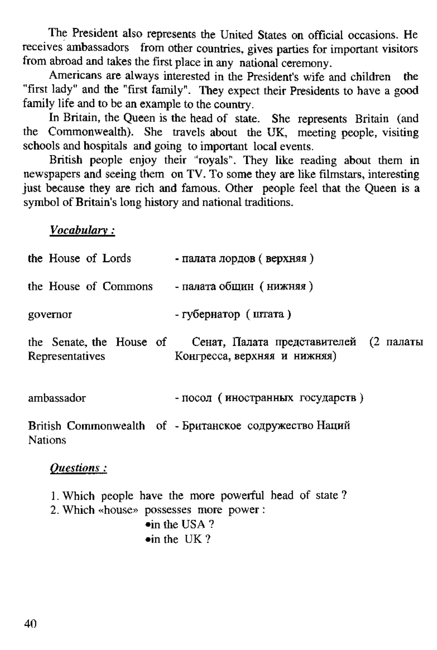The President also represents the United States on official occasions. He receives ambassadors from other countries, gives parties for important visitors from abroad and takes the first place in any national ceremony.

Americans are always interested in the President's wife and children the "first lady" and the "first family". They expect their Presidents to have a good family life and to be an example to the country.

In Britain, the Queen is the head of state. She represents Britain (and the Commonwealth). She travels about the UK, meeting people, visiting schools and hospitals and going to important local events.

British people enjoy their "royals". They like reading about them in newspapers and seeing them on TV. To some they are like filmstars, interesting inst because they are rich and famous. Other people feel that the Queen is a symbol of Britain's long history and national traditions.

*V ocabulary:*

| the House of Lords - палата лордов (верхняя)                                                                                            |                                                                                                |  |
|-----------------------------------------------------------------------------------------------------------------------------------------|------------------------------------------------------------------------------------------------|--|
| the House of Commons - палата общин (нижняя)                                                                                            |                                                                                                |  |
| governor                                                                                                                                | - губернатор (штата)                                                                           |  |
| Representatives                                                                                                                         | the Senate the House of Cenar, Палата представителей (2 палаты<br>Конгресса, верхняя и нижняя) |  |
| ambassador                                                                                                                              | - посол (иностранных государств)                                                               |  |
| British Commonwealth of - Британское содружество Наций<br><b>Nations</b>                                                                |                                                                                                |  |
| Ouestions:                                                                                                                              |                                                                                                |  |
| 1. Which people have the more powerful head of state?<br>2. Which «house» possesses more power:<br>oin the USA?<br>$\bullet$ in the UK? |                                                                                                |  |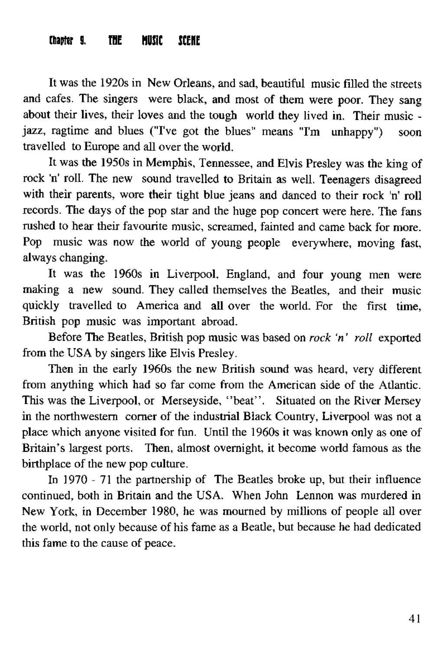#### <span id="page-40-0"></span>Chantor G. THE MILESC SCENE

It was the 1920s in New Orleans, and sad, beautiful music filled the streets and cafes. The singers were black, and most of them were poor. They sang about their lives, their loves and the tough world they lived in. Their music jazz, ragtime and blues ("I've got the blues" means "I'm unhappy") soon travelled to Europe and all over the world.

It was the 1950s in Memphis, Tennessee, and Elvis Presley was the king of rock 'n' roll. The new sound travelled to Britain as well. Teenagers disagreed with their parents, wore their tight blue jeans and danced to their rock 'n' roll records. The days of the pop star and the huge pop concert were here. The fans rushed to hear their favourite music, screamed, fainted and came back for more. Pop music was now the world of young people everywhere, moving fast, always changing.

It was the 1960s in Liverpool, England, and four young men were making a new sound. They called themselves the Beatles, and their music quickly travelled to America and all over the world. For the first time, British pop music was important abroad.

Before The Beatles, British pop music was based on *rock 'n' roll* exported from the USA by singers like Elvis Presley.

Then in the early 1960s the new British sound was heard, very different from anything which had so far come from the American side of the Atlantic. This was the Liverpool, or Merseyside, "beat". Situated on the River Mersey in the northwestern corner of the industrial Black Country, Liverpool was not a place which anyone visited for fun. Until the 1960s it was known only as one of Britain's largest ports. Then, almost overnight, it become world famous as the birthplace of the new pop culture.

In 1970 - 71 the partnership of The Beatles broke up, but their influence continued, both in Britain and the USA. W hen John Lennon was murdered in New York, in December 1980, he was mourned by millions of people all over the world, not only because of his fame as a Beatle, but because he had dedicated this fame to the cause of peace.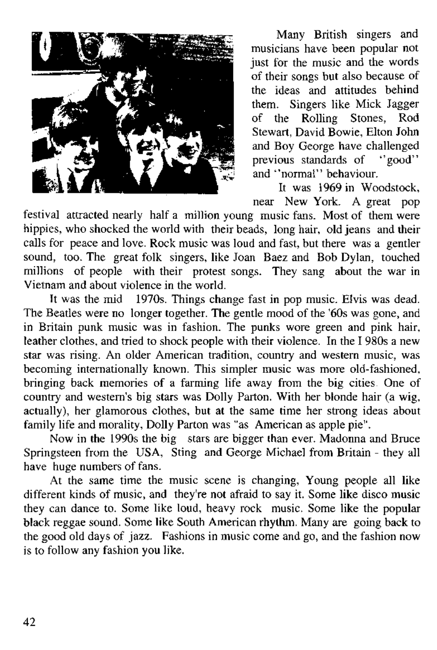

Many British singers and musicians have been popular not just for the music and the words o f their songs but also because of the ideas and attitudes behind them. Singers like Mick Jagger o f the Rolling Stones, Rod Stewart, David Bowie, Elton John and Boy George have challenged  $\frac{1}{2}$  previous standards of "good" and "normal" behaviour.

It was 1969 in W oodstock, near New York. A great pop

festival attracted nearly half a million young music fans. Most of them were hippies, who shocked the world with their beads. Jong hair, old jeans and their calls for peace and love. Rock music was loud and fast, but there was a gentler sound, too. The great folk singers, like Joan Baez and Bob Dylan, touched millions of people with their protest songs. They sang about the war in Vietnam and about violence in the world.

It was the mid 1970s. Things change fast in pop music. Elvis was dead. The Beatles were no longer together. The gentle mood of the '60s was gone, and in Britain punk music was in fashion. The punks wore green and pink hair, leather clothes, and tried to shock people with their violence. In the I 980s a new star was rising. An older American tradition, country and western music, was becoming internationally known. This simpler music was more old-fashioned, bringing back memories of a farming life away from the big cities. One of country and western's hig stars was Dolly Parton. With her blonde hair (a wig, actually), her glamorous clothes, but at the same time her strong ideas about family life and morality, Dolly Parton was "as American as apple pie".

Now in the 1990s the big stars are bigger than ever. Madonna and Bruce Springsteen from the USA, Sting and George Michael from Britain - they all have huge numbers of fans.

At the same time the music scene is changing, Young people all like different kinds of music, and they're not afraid to say it. Some like disco music they can dance to. Some like loud, heavy rock music. Some like the popular black reggae sound. Some like South American rhythm. Many are going back to the good old days of jazz. Fashions in music come and go, and the fashion now is to follow any fashion you like.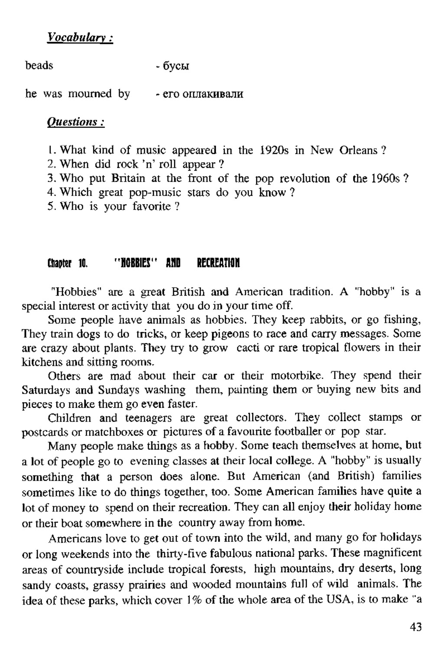#### *V o ca b u la ry:*

beads - бусы

he was mourned by - его оплакивали

#### *Q u estio n s:*

1. What kind of music appeared in the 1920s in New Orleans ?

- 2. When did rock 'n' roll annear ?
- 3. Who put Britain at the front of the pop revolution of the 1960s  $?$
- 4. Which great pop-music stars do you know ?
- 5. Who is your favorite?

## Chanter 10. " HORRIES" AND RECREATION

"Hobbies" are a great British and American tradition. A "hobby" is a special interest or activity that you do in your time off.

Some people have animals as hobbies. They keep rabbits, or go fishing, They train dogs to do tricks, or keep pigeons to race and carry messages. Some are crazy about plants. They try to grow cacti or rare tropical flowers in their kitchens and sitting rooms.

Others are mad about their car or their motorbike. They spend their Saturdays and Sundays washing them, painting them or buying new bits and pieces to make them go even faster.

Children and teenagers are great collectors. They collect stamps or postcards or matchboxes or pictures of a favourite footballer or pop star.

Many people make things as a hobby. Some teach themselves at home, but a lot of people go to evening classes at their local college. A "hobby" is usually something that a person does alone. But American (and British) families sometimes like to do things together, too. Some American families have quite a lot of money to spend on their recreation. They can all enjoy their holiday home or their boat somewhere in the country away from home.

Americans love to get out of town into the wild, and many go for holidays or long weekends into the thirty-five fabulous national parks. These magnificent areas of countryside include tropical forests, high mountains, dry deserts, long sandy coasts, grassy prairies and wooded mountains full of wild animals. The idea of these parks, which cover 1% of the whole area of the USA, is to make "a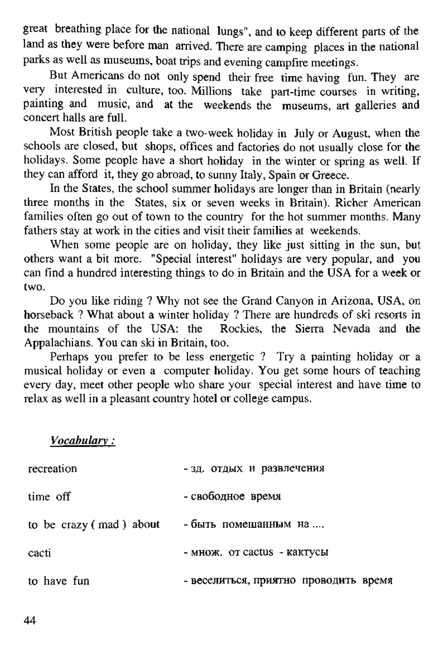great breathing place for the national lungs", and to keep different parts of the land as they were before man arrived. There are camping places in the national parks as well as museums, boat trips and evening campfire meetings.

But Americans do not only spend their free time having fun. They are very interested in culture, too. Millions take part-time courses in writing, painting and music, and at the weekends the museums, art galleries and concert halls are full.

Most British people take a two-week holiday in July or August, when the schools are closed, but shops, offices and factories do not usually close for the holidays. Some people have a short holiday in the winter or spring as well. If they can afford it, they go abroad, to sunny Italy, Spain or Greece.

In the States, the school summer holidays are longer than in Britain (nearly three months in the States, six or seven weeks in Britain). Richer American families often go out of town to the country for the hot summer months. Many fathers stay at work in the cities and visit their families at weekends.

When some people are on holiday, they like just sitting in the sun, but others want a bit more. "Special interest" holidays are very popular, and you can find a hundred interesting things to do in Britain and the USA for a week or two.

Do you like riding ? Why not see the Grand Canyon in Arizona, USA, on horseback ? What about a winter holiday ? There are hundreds of ski resorts in the mountains of the USA: the Rockies, the Sierra Nevada and the Appalachians. You can ski in Britain, too.

Perhaps you prefer to be less energetic ? Try a painting holiday or a musical holiday or even a computer holiday. You get some hours of teaching every day, meet other people who share your special interest and have time to relax as well in a pleasant country hotel or college campus.

*V ocabulary:*

| recreation              | - зд. отдых и развлечения             |
|-------------------------|---------------------------------------|
| time off                | - свободное время                     |
| to be crazy (mad) about | - быть помешанным на                  |
| cacti                   | - MHOW. OT CACLUS - KAKTVCLI          |
| to have fun             | - веселиться, приятно проводить время |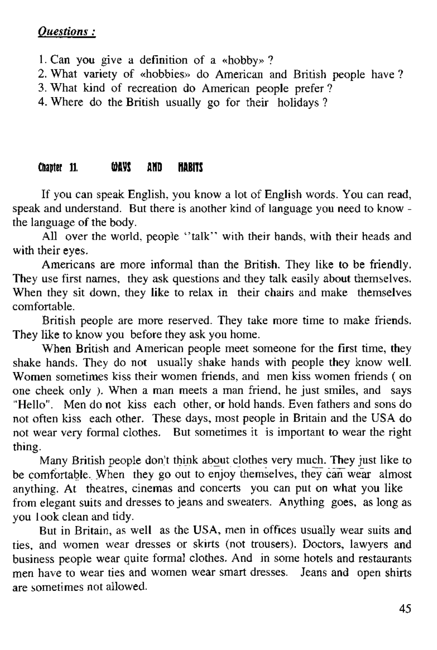## *Q uestions*

```
1. Can you give a definition of a «hobby»?
```
2. What variety of «hobbies» do American and British people have ?<br>3. What kind of recreation do American people prefer ?

4. Where do the British usually go for their holidays ?

## Chapter 11. (OBVS AND HARITS

If you can speak English, you know a lot of English words. You can read, speak and understand. But there is another kind of language you need to know the language of the body.

All over the world, people "talk" with their hands, with their heads and with their eyes.

Americans are more informal than the British. They like to be friendly. They use first names, they ask questions and they talk easily about themselves. When they sit down, they like to relax in their chairs and make themselves comfortable.

British people are more reserved. They take more time to make friends. They like to know you before they ask you home.

When British and American people meet someone for the first time, they shake hands. They do not usually shake hands with people they know well. Women sometimes kiss their women friends, and men kiss women friends ( on one cheek only ). W hen a man meets a man friend, he just smiles, and says "Hello". Men do not kiss each other or hold hands. Even fathers and sons do not often kiss each other. These days, most people in Britain and the USA do not wear very formal clothes. But sometimes it is important to wear the right thing.

Many British people don't think about clothes very much. They just like to be comfortable. When they go out to enjoy themselves, they can wear almost anything. At theatres, cinemas and concerts you can put on what you like from elegant suits and dresses to jeans and sweaters. Anything goes, as long as you look clean and tidy.

But in Britain, as well as the USA, men in offices usually wear suits and ties, and women wear dresses or skirts (not trousers). Doctors, lawyers and business people wear quite formal clothes. And in some hotels and restaurants men have to wear ties and women wear smart dresses. Jeans and open shirts are sometimes not allowed.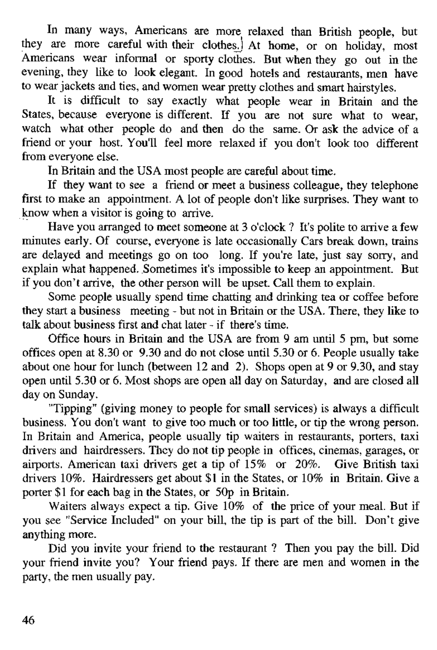In many ways, Americans are more relaxed than British people, but they are more careful with their clothesj A t home, or on holiday, most Americans wear informal or sporty clothes. But when they go out in the evening, they like to look elegant. In good hotels and restaurants, men have to wear jackets and ties, and women wear pretty clothes and smart hairstyles.

It is difficult to say exactly what people wear in Britain and the States, because everyone is different. If you are not sure what to wear. watch what other people do and then do the same. Or ask the advice of a friend or your host. Y ou'll feel more relaxed if you don't look too different from everyone else.

In Britain and the USA most people are careful about time.

If they want to see a friend or meet a business colleague, they telephone first to make an appointment. A lot of people don't like surprises. They want to know when a visitor is going to arrive.

Have you arranged to meet someone at 3 o'clock ? It's polite to arrive a few minutes early. Of course, everyone is late occasionally Cars break down, trains are delayed and meetings go on too long. If you're late, just say sorry, and explain what happened. Sometimes it's impossible to keep an appointment. But if you don't arrive, the other person will be upset. Call them to explain.

Some people usually spend time chatting and drinking tea or coffee before they start a business meeting - but not in Britain or the USA. There, they like to talk about business first and chat later - if there's time.

Office hours in Britain and the USA are from 9 am until 5 pm, but some offices open at 8.30 or 9.30 and do not close until 5.30 or 6. People usually take about one hour for lunch (between 12 and 2). Shops open at 9 or 9.30, and stay open until 5.30 or 6. Most shops are open all day on Saturday, and are closed all day on Sunday.

"Tipping" (giving money to people for small services) is always a difficult business. You don't want to give too much or too little, or tip the wrong person. In Britain and America, people usually tip waiters in restaurants, porters, taxi drivers and hairdressers. They do not tip people in offices, cinemas, garages, or airports. American taxi drivers get a tip of 15% or 20%. Give British taxi drivers 10%. Hairdressers get about \$1 in the States, or 10% in Britain. Give a porter \$1 for each bag in the States, or 50p in Britain.

Waiters always expect a tip. Give 10% of the price of your meal. But if you see "Service Included" on your bill, the tip is part of the bill. Don't give anything more.

Did you invite your friend to the restaurant ? Then you pay the bill. Did your friend invite you? Your friend pays. If there are men and women in the party, the men usually pay.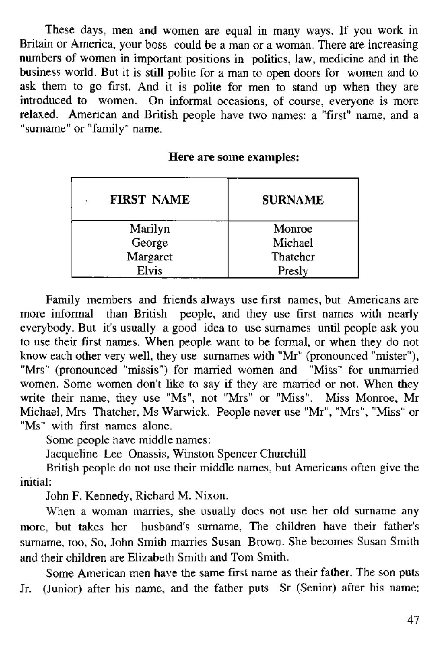These days, men and women are equal in many ways. If you work in Britain or America, your boss could be a man or a woman. There are increasing numbers of women in important positions in politics, law, medicine and in the business world. But it is still polite for a man to open doors for women and to ask them to go first. And it is polite for men to stand up when they are introduced to women. On informal occasions, of course, everyone is more relaxed. American and British people have two names: a "first" name, and a "surname" or "family" name.

| <b>FIRST NAME</b><br>ł | <b>SURNAME</b> |
|------------------------|----------------|
| Marilyn                | Monroe         |
| George                 | Michael        |
| Margaret               | Thatcher       |
| Elvis                  | Presly         |

Here are some examples:

Family members and friends always use first names, but Americans are more informal than British people, and they use first names with nearly everybody. But it's usually a good idea to use surnames until people ask you to use their first names. When people want to be formal, or when they do not know each other very well, they use surnames with "Mr" (pronounced "mister"), "Mrs" (pronounced "missis") for married women and "Miss" for unmarried women. Some women don't like to say if they are married or not. When they<br>write their name, they use "Ms", not "Mrs" or "Miss". Miss Monroe, Mr Michael, Mrs. Thatcher, Ms Warwick. People never use "Mr", "Mrs", "Miss" or "Ms" with first names alone.

Som e people have middle names:

Jacqueline Lee Onassis, W inston Spencer Churchill

British people do not use their middle names, but Americans often give the initial:

John F. Kennedy, Richard M. Nixon.

When a woman marries, she usually docs not use her old surname any more, but takes her husband's surname. The children have their father's surname, too. So, John Smith marries Susan Brown. She becomes Susan Smith and their children are Elizabeth Smith and Tom Smith.

Some American men have the same first name as their father. The son puts Jr. (Junior) after his name, and the father puts Sr (Senior) after his name: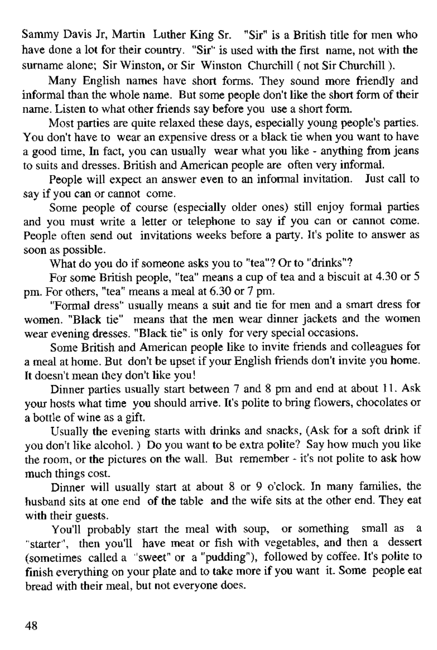Sammy Davis Jr, Martin Luther King Sr. "Sir" is a British title for men who have done a lot for their country. "Sir" is used with the first name, not with the surname alone: Sir Winston, or Sir, Winston, Churchill ( not Sir Churchill ).

Many English names have short forms. They sound more friendly and informal than the whole name. But some people don't like the short form of their name. Listen to what other friends say before you use a short form.

Most parties are quite relaxed these days, especially young people's parties. You don't have to wear an expensive dress or a black tie when you want to have a good time. In fact, you can usually wear what you like - anything from jeans to suits and dresses. B ritish and A merican people are often very informal.

People will expect an answer even to an informal invitation. Just call to say if you can or cannot come.

Some people of course (especially older ones) still enjoy formal parties and you must write a letter or telephone to say if you can or cannot come. People often send out invitations weeks before a party. It's polite to answer as soon as possible.

What do you do if someone asks you to "tea"? Or to "drinks"?

For some British people, "tea" means a cup of tea and a biscuit at 4.30 or 5 pm. For others, "tea" means a meal at  $6.30$  or  $7$  pm.

"Formal dress" usually means a suit and tie for men and a smart dress for women. "Black tie" means that the men wear dinner jackets and the women wear evening dresses. "Black tie" is only for very special occasions.

Some British and American people like to invite friends and colleagues for a meal at home. But don't be upset if your English friends don't invite you home. It doesn't mean they don't like you!

Dinner parties usually start between 7 and 8 pm and end at about 11. Ask your hosts what time you should arrive. It's polite to bring flowers, chocolates or  $a$  bottle of wine as a gift.

Usually the evening starts with drinks and snacks, (Ask for a soft drink if you don't like alcohol. ) Do you want to be extra polite? Say how much you like the room, or the pictures on the wall. But remember - it's not polite to ask how much things cost.

Dinner will usually start at about 8 or 9 o'clock. In many families, the husband sits at one end of the table and the wife sits at the other end. They eat with their guests.

You'll probably start the meal with soup, or something small as a "starter", then you'll have meat or fish with vegetables, and then a dessert (som etim es called a "sweet" or a "pudding"), followed by coffee. It's polite to finish everything on your plate and to take more if you want it. Some people eat bread with their meal, but not everyone does.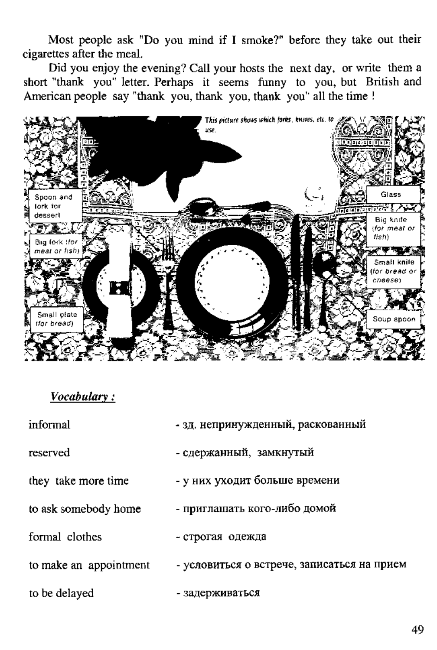Most people ask "Do you mind if I smoke?" before they take out their ciparettes after the meal.

Did you enjoy the evening? Call your hosts the next day, or write them a short "thank you" letter. Perhaps it seems funny to you, but British and American people say "thank you, thank you, thank you' all the time !



## Vocabulary:

| informal               | - зд. непринужденный, раскованный           |
|------------------------|---------------------------------------------|
| reserved               | - сдержанный, замкнутый                     |
| they take more time    | - у них уходит больше времени               |
| to ask somebody home   | - приглашать кого-либо домой                |
| formal clothes         | - строгая одежда                            |
| to make an appointment | - условиться о встрече, записаться на прием |
| to be delayed          | - задерживаться                             |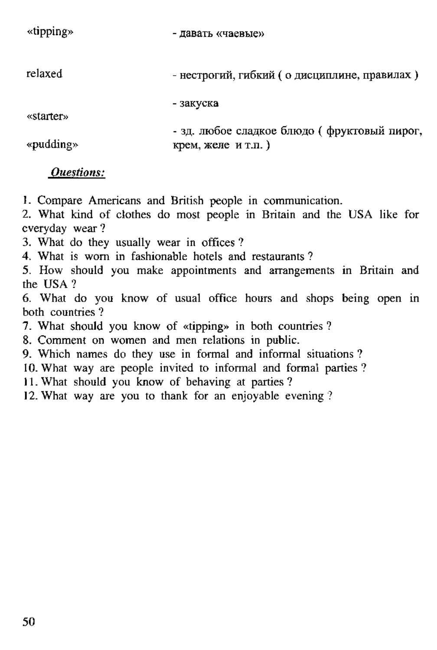| «upping»  | - давать «чаевые»                              |
|-----------|------------------------------------------------|
| relaxed   | - нестрогий, гибкий ( о дисциплине, правилах ) |
| «starter» | - закуска                                      |
|           | - зд. любое сладкое блюдо (фруктовый пирог,    |
| «pudding» | крем. желе и т.п.)                             |

*Questions:*

1. Compare Americans and British people in communication.

2. What kind of clothes do most people in Britain and the USA like for everyday wear?

3. What do they usually wear in offices?

4. What is worn in fashionable hotels and restaurants?

5. How should you make appointments and arrangements in Britain and the USA ?

6. What do you know of usual office hours and shops being open in both countries ?

7. What should you know of «tipping» in both countries ?

8. Comment on women and men relations in public.

9. Which names do they use in formal and informal situations?

10. What way are people invited to informal and formal parties?

11. What should you know of behaving at parties ?

12. What way are you to thank for an enjoyable evening ?